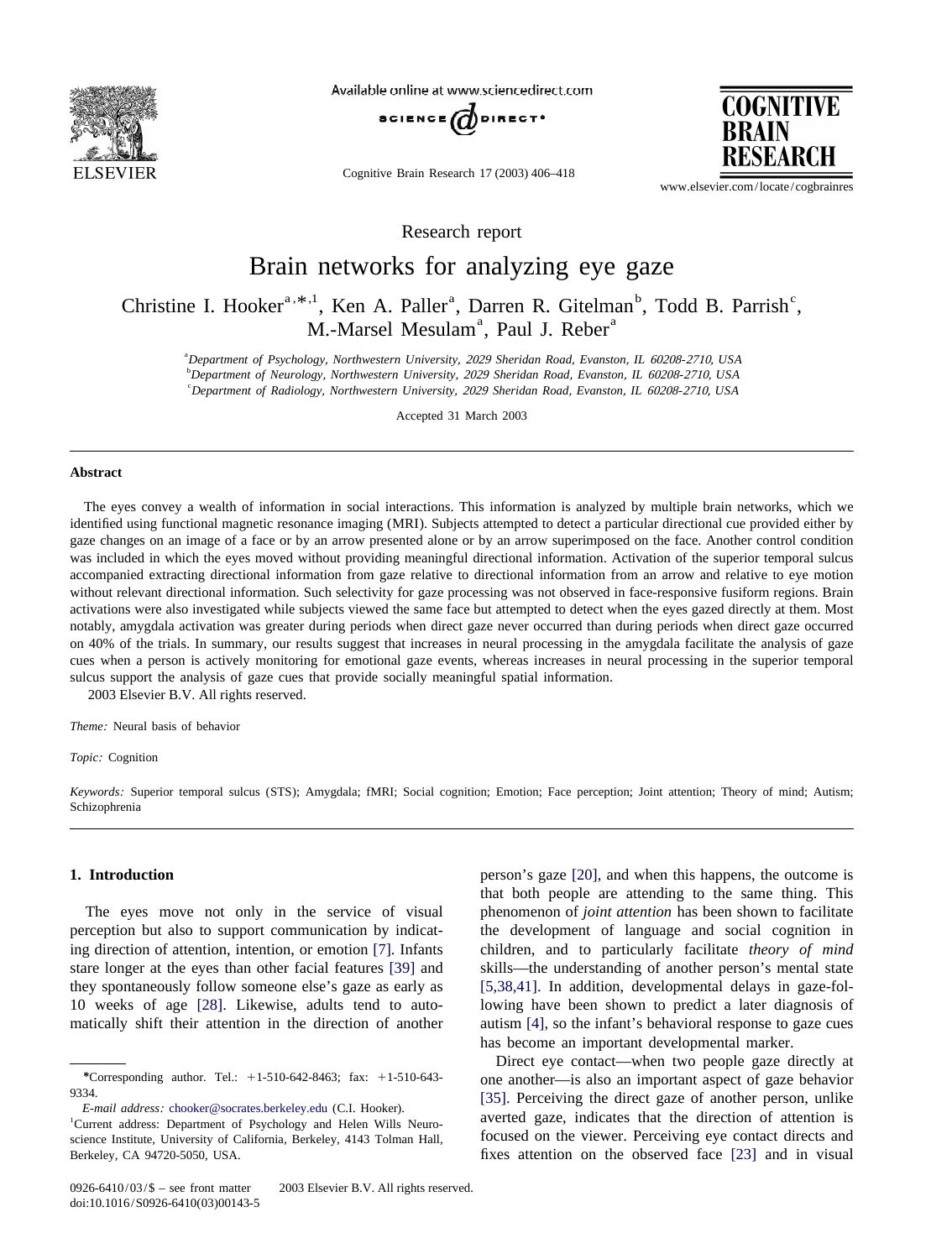

Available online at www.sciencedirect.com



Cognitive Brain Research 17 (2003) 406–418

**COGNITIVE RRAIN** RESEARCH

www.elsevier.com/locate/cogbrainres

Research report

# Brain networks for analyzing eye gaze

Christine I. Hooker<sup>a, \*,1</sup>, Ken A. Paller<sup>a</sup>, Darren R. Gitelman<sup>b</sup>, Todd B. Parrish<sup>c</sup>, M.-Marsel Mesulam<sup>a</sup>, Paul J. Reber<sup>a</sup>

a *Department of Psychology*, *Northwestern University*, <sup>2029</sup> *Sheridan Road*, *Evanston*, *IL* <sup>60208</sup>-2710, *USA* b *Department of Neurology*, *Northwestern University*, <sup>2029</sup> *Sheridan Road*, *Evanston*, *IL* <sup>60208</sup>-2710, *USA* c *Department of Radiology*, *Northwestern University*, <sup>2029</sup> *Sheridan Road*, *Evanston*, *IL* <sup>60208</sup>-2710, *USA*

Accepted 31 March 2003

### **Abstract**

The eyes convey a wealth of information in social interactions. This information is analyzed by multiple brain networks, which we identified using functional magnetic resonance imaging (MRI). Subjects attempted to detect a particular directional cue provided either by gaze changes on an image of a face or by an arrow presented alone or by an arrow superimposed on the face. Another control condition was included in which the eyes moved without providing meaningful directional information. Activation of the superior temporal sulcus accompanied extracting directional information from gaze relative to directional information from an arrow and relative to eye motion without relevant directional information. Such selectivity for gaze processing was not observed in face-responsive fusiform regions. Brain activations were also investigated while subjects viewed the same face but attempted to detect when the eyes gazed directly at them. Most notably, amygdala activation was greater during periods when direct gaze never occurred than during periods when direct gaze occurred on 40% of the trials. In summary, our results suggest that increases in neural processing in the amygdala facilitate the analysis of gaze cues when a person is actively monitoring for emotional gaze events, whereas increases in neural processing in the superior temporal sulcus support the analysis of gaze cues that provide socially meaningful spatial information. 2003 Elsevier B.V. All rights reserved.

*Theme*: Neural basis of behavior

*Topic*: Cognition

*Keywords*: Superior temporal sulcus (STS); Amygdala; fMRI; Social cognition; Emotion; Face perception; Joint attention; Theory of mind; Autism; Schizophrenia

perception but also to support communication by indicat- the development of language and social cognition in ing direction of attention, intention, or emotion [\[7\].](#page-10-0) Infants children, and to particularly facilitate *theory of mind* stare longer at the eyes than other facial features [\[39\]](#page-11-0) and skills—the understanding of another person's mental state they spontaneously follow someone else's gaze as early as [\[5,38,41\].](#page-10-0) In addition, developmental delays in gaze-fol-10 weeks of age [\[28\].](#page-11-0) Likewise, adults tend to auto- lowing have been shown to predict a later diagnosis of matically shift their attention in the direction of another autism [\[4\],](#page-10-0) so the infant's behavioral response to gaze cues

**1. Introduction** person's gaze [\[20\],](#page-11-0) and when this happens, the outcome is that both people are attending to the same thing. This The eyes move not only in the service of visual phenomenon of *joint attention* has been shown to facilitate has become an important developmental marker.

Direct eye contact—when two people gaze directly at *\**Corresponding author. Tel.: 11-510-642-8463; fax: 11-510-643- one another—is also an important aspect of gaze behavior 9334. [\[35\].](#page-11-0) Perceiving the direct gaze of another person, unlike *<sup>E</sup>*-*mail address*: [chooker@socrates.berkeley.edu](mailto:chooker@socrates.berkeley.edu) (C.I. Hooker).

<sup>&</sup>lt;sup>1</sup> Current address: Department of Psychology and Helen Wills Neuroscience Institute, University of California, Berkeley, 4143 Tolman Hall, focused on the viewer. Perceiving eye contact directs and Berkeley, CA 94720-5050, USA. fixes attention on the observed face [\[23\]](#page-11-0) and in visual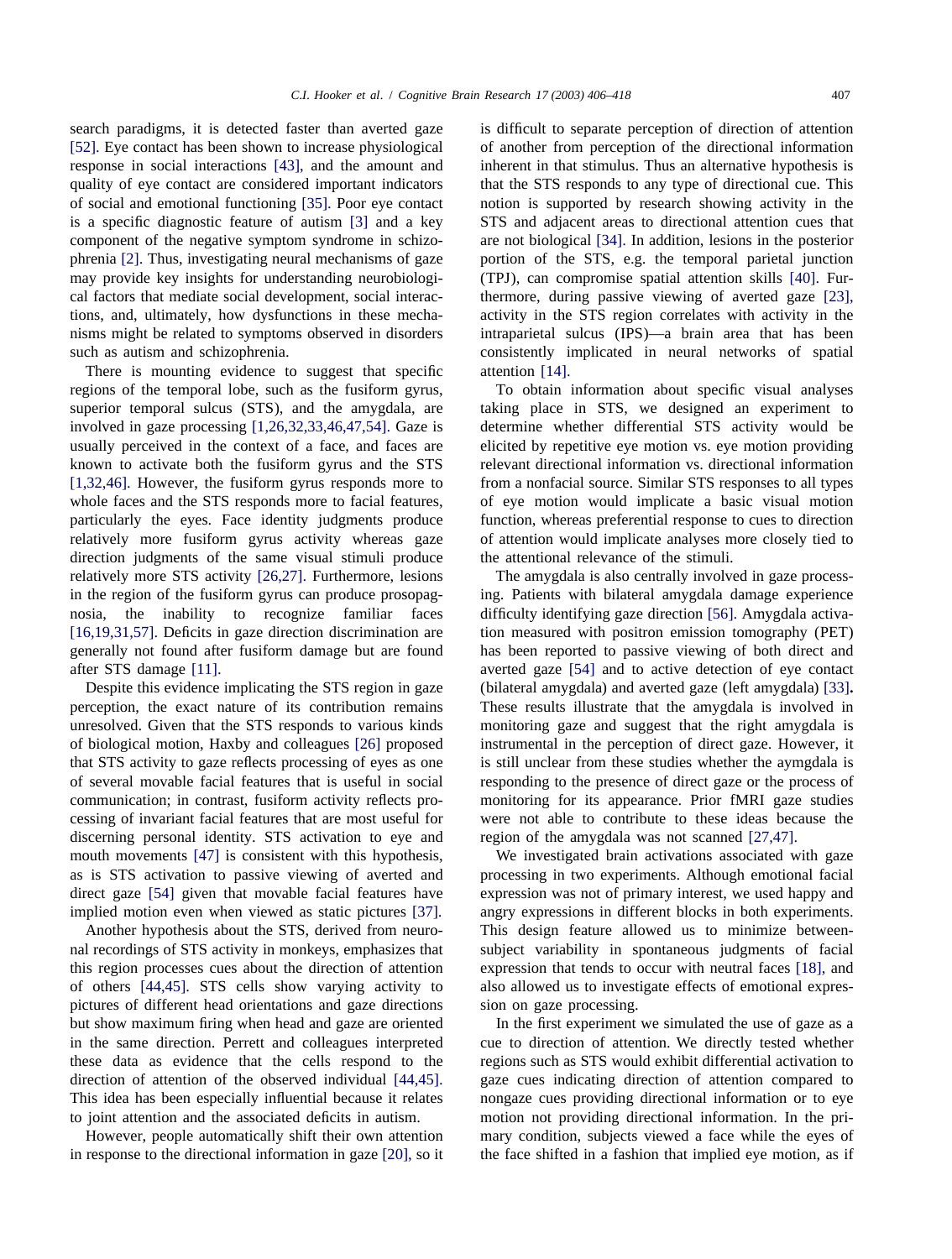search paradigms, it is detected faster than averted gaze is difficult to separate perception of direction of attention [\[52\].](#page-11-0) Eye contact has been shown to increase physiological of another from perception of the directional information response in social interactions [\[43\],](#page-11-0) and the amount and inherent in that stimulus. Thus an alternative hypothesis is quality of eye contact are considered important indicators that the STS responds to any type of directional cue. This of social and emotional functioning [\[35\].](#page-11-0) Poor eye contact notion is supported by research showing activity in the is a specific diagnostic feature of autism [\[3\]](#page-10-0) and a key STS and adjacent areas to directional attention cues that component of the negative symptom syndrome in schizo- are not biological [\[34\].](#page-11-0) In addition, lesions in the posterior phrenia [\[2\].](#page-10-0) Thus, investigating neural mechanisms of gaze portion of the STS, e.g. the temporal parietal junction may provide key insights for understanding neurobiologi- (TPJ), can compromise spatial attention skills [\[40\].](#page-11-0) Furcal factors that mediate social development, social interac- thermore, during passive viewing of averted gaze [\[23\],](#page-11-0) nisms might be related to symptoms observed in disorders intraparietal sulcus (IPS)—a brain area that has been such as autism and schizophrenia. consistently implicated in neural networks of spatial

There is mounting evidence to suggest that specific attention [\[14\].](#page-11-0) regions of the temporal lobe, such as the fusiform gyrus, To obtain information about specific visual analyses superior temporal sulcus (STS), and the amygdala, are taking place in STS, we designed an experiment to involved in gaze processing [\[1,26,32,33,46,47,54\].](#page-10-0) Gaze is determine whether differential STS activity would be usually perceived in the context of a face, and faces are elicited by repetitive eye motion vs. eye motion providing known to activate both the fusiform gyrus and the STS relevant directional information vs. directional information [\[1,32,46\].](#page-10-0) However, the fusiform gyrus responds more to from a nonfacial source. Similar STS responses to all types whole faces and the STS responds more to facial features, of eye motion would implicate a basic visual motion particularly the eyes. Face identity judgments produce function, whereas preferential response to cues to direction relatively more fusiform gyrus activity whereas gaze of attention would implicate analyses more closely tied to direction judgments of the same visual stimuli produce the attentional relevance of the stimuli. relatively more STS activity [\[26,27\].](#page-11-0) Furthermore, lesions The amygdala is also centrally involved in gaze processin the region of the fusiform gyrus can produce prosopag- ing. Patients with bilateral amygdala damage experience nosia, the inability to recognize familiar faces difficulty identifying gaze direction [\[56\].](#page-12-0) Amygdala activa- [\[16,19,31,57\].](#page-11-0) Deficits in gaze direction discrimination are tion measured with positron emission tomography (PET) generally not found after fusiform damage but are found has been reported to passive viewing of both direct and after STS damage [\[11\].](#page-11-0) averted gaze [\[54\]](#page-11-0) and to active detection of eye contact

perception, the exact nature of its contribution remains These results illustrate that the amygdala is involved in unresolved. Given that the STS responds to various kinds monitoring gaze and suggest that the right amygdala is of biological motion, Haxby and colleagues [\[26\]](#page-11-0) proposed instrumental in the perception of direct gaze. However, it that STS activity to gaze reflects processing of eyes as one is still unclear from these studies whether the aymgdala is of several movable facial features that is useful in social responding to the presence of direct gaze or the process of communication; in contrast, fusiform activity reflects pro- monitoring for its appearance. Prior fMRI gaze studies cessing of invariant facial features that are most useful for were not able to contribute to these ideas because the discerning personal identity. STS activation to eye and region of the amygdala was not scanned [\[27,47\].](#page-11-0) mouth movements [\[47\]](#page-11-0) is consistent with this hypothesis, We investigated brain activations associated with gaze as is STS activation to passive viewing of averted and processing in two experiments. Although emotional facial direct gaze [\[54\]](#page-11-0) given that movable facial features have expression was not of primary interest, we used happy and implied motion even when viewed as static pictures [\[37\].](#page-11-0) angry expressions in different blocks in both experiments.

nal recordings of STS activity in monkeys, emphasizes that subject variability in spontaneous judgments of facial this region processes cues about the direction of attention expression that tends to occur with neutral faces [\[18\],](#page-11-0) and of others [\[44,45\].](#page-11-0) STS cells show varying activity to also allowed us to investigate effects of emotional exprespictures of different head orientations and gaze directions sion on gaze processing. but show maximum firing when head and gaze are oriented In the first experiment we simulated the use of gaze as a in the same direction. Perrett and colleagues interpreted cue to direction of attention. We directly tested whether these data as evidence that the cells respond to the regions such as STS would exhibit differential activation to direction of attention of the observed individual [\[44,45\].](#page-11-0) gaze cues indicating direction of attention compared to This idea has been especially influential because it relates nongaze cues providing directional information or to eye to joint attention and the associated deficits in autism. motion not providing directional information. In the pri-

in response to the directional information in gaze [\[20\],](#page-11-0) so it the face shifted in a fashion that implied eye motion, as if

tions, and, ultimately, how dysfunctions in these mecha- activity in the STS region correlates with activity in the

Despite this evidence implicating the STS region in gaze (bilateral amygdala) and averted gaze (left amygdala) [\[33\]](#page-11-0)**.**

Another hypothesis about the STS, derived from neuro- This design feature allowed us to minimize between-

However, people automatically shift their own attention mary condition, subjects viewed a face while the eyes of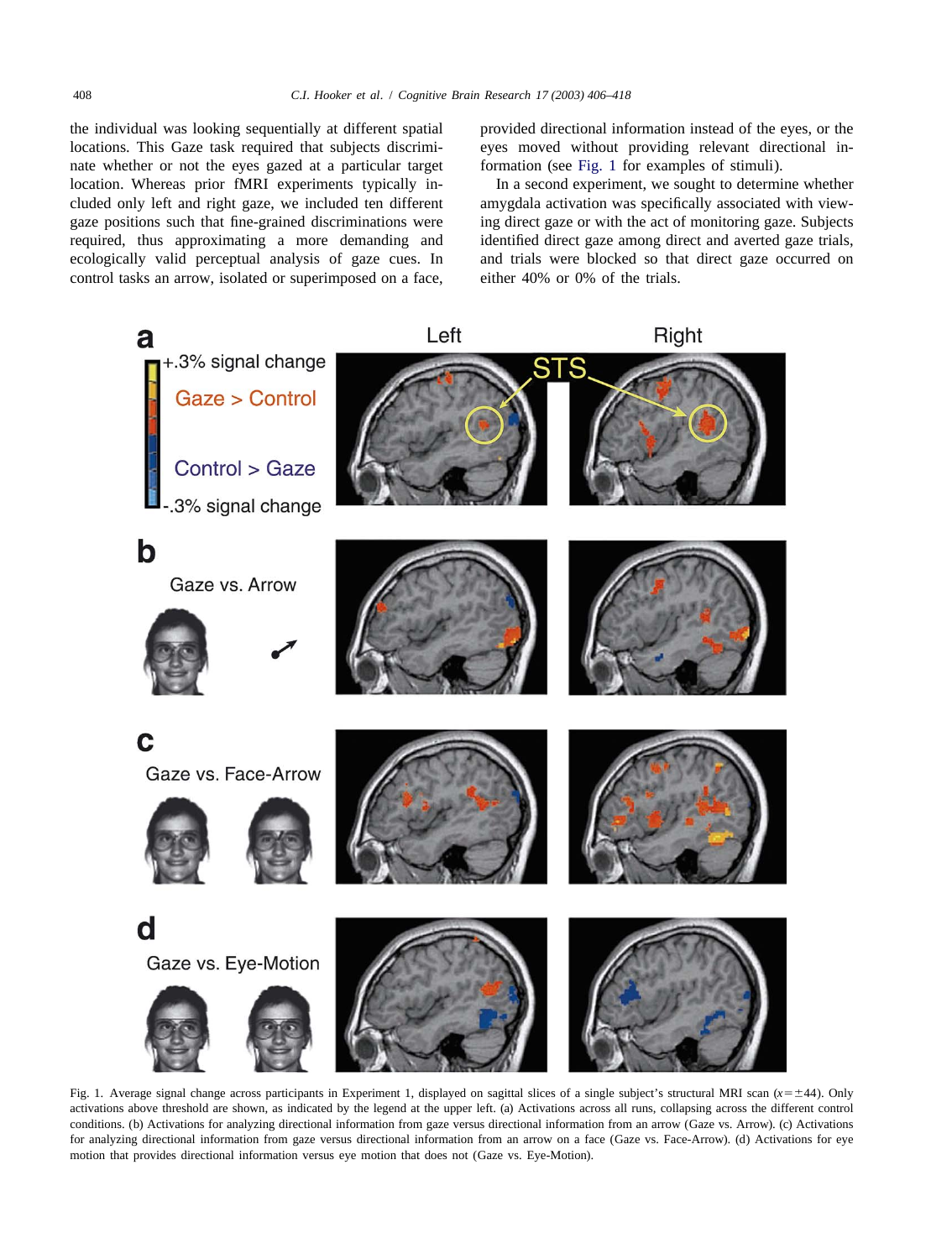<span id="page-2-0"></span>the individual was looking sequentially at different spatial provided directional information instead of the eyes, or the locations. This Gaze task required that subjects discrimi- eyes moved without providing relevant directional innate whether or not the eyes gazed at a particular target formation (see Fig. 1 for examples of stimuli). location. Whereas prior fMRI experiments typically in-<br>In a second experiment, we sought to determine whether cluded only left and right gaze, we included ten different amygdala activation was specifically associated with viewgaze positions such that fine-grained discriminations were ing direct gaze or with the act of monitoring gaze. Subjects required, thus approximating a more demanding and identified direct gaze among direct and averted gaze trials, ecologically valid perceptual analysis of gaze cues. In and trials were blocked so that direct gaze occurred on control tasks an arrow, isolated or superimposed on a face, either 40% or 0% of the trials.



Fig. 1. Average signal change across participants in Experiment 1, displayed on sagittal slices of a single subject's structural MRI scan  $(x = \pm 44)$ . Only activations above threshold are shown, as indicated by the legend at the upper left. (a) Activations across all runs, collapsing across the different control conditions. (b) Activations for analyzing directional information from gaze versus directional information from an arrow (Gaze vs. Arrow). (c) Activations for analyzing directional information from gaze versus directional information from an arrow on a face (Gaze vs. Face-Arrow). (d) Activations for eye motion that provides directional information versus eye motion that does not (Gaze vs. Eye-Motion).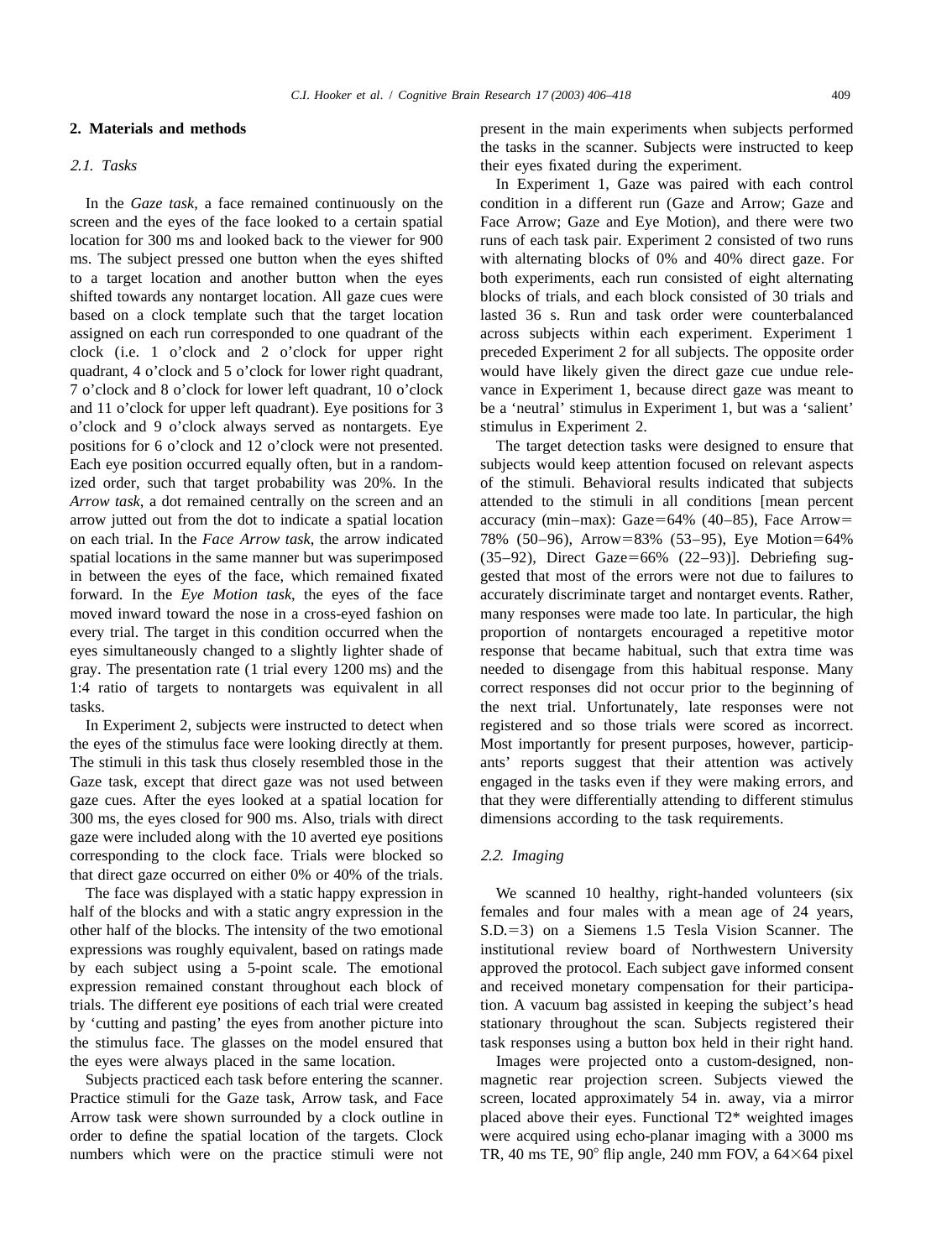screen and the eyes of the face looked to a certain spatial Face Arrow; Gaze and Eye Motion), and there were two location for 300 ms and looked back to the viewer for 900 runs of each task pair. Experiment 2 consisted of two runs ms. The subject pressed one button when the eyes shifted with alternating blocks of 0% and 40% direct gaze. For to a target location and another button when the eyes both experiments, each run consisted of eight alternating shifted towards any nontarget location. All gaze cues were blocks of trials, and each block consisted of 30 trials and based on a clock template such that the target location lasted 36 s. Run and task order were counterbalanced assigned on each run corresponded to one quadrant of the across subjects within each experiment. Experiment 1 clock (i.e. 1 o'clock and 2 o'clock for upper right preceded Experiment 2 for all subjects. The opposite order quadrant, 4 o'clock and 5 o'clock for lower right quadrant, would have likely given the direct gaze cue undue rele-7 o'clock and 8 o'clock for lower left quadrant, 10 o'clock vance in Experiment 1, because direct gaze was meant to and 11 o'clock for upper left quadrant). Eye positions for 3 be a 'neutral' stimulus in Experiment 1, but was a 'salient' o'clock and 9 o'clock always served as nontargets. Eye stimulus in Experiment 2. positions for 6 o'clock and 12 o'clock were not presented. The target detection tasks were designed to ensure that Each eye position occurred equally often, but in a random- subjects would keep attention focused on relevant aspects ized order, such that target probability was 20%. In the of the stimuli. Behavioral results indicated that subjects *Arrow task*, a dot remained centrally on the screen and an attended to the stimuli in all conditions [mean percent arrow jutted out from the dot to indicate a spatial location accuracy (min–max): Gaze=64% (40–85), Face Arrow= on each trial. In the *Face Arrow task*, the arrow indicated 78% (50–96), Arrow=83% (53–95), Eye Motion=64% spatial locations in the same manner but was superimposed  $(35-92)$ , Direct Gaze=66%  $(22-93)$ ]. Debriefing sugin between the eyes of the face, which remained fixated gested that most of the errors were not due to failures to forward. In the *Eye Motion task*, the eyes of the face accurately discriminate target and nontarget events. Rather, moved inward toward the nose in a cross-eyed fashion on many responses were made too late. In particular, the high every trial. The target in this condition occurred when the proportion of nontargets encouraged a repetitive motor eyes simultaneously changed to a slightly lighter shade of response that became habitual, such that extra time was gray. The presentation rate (1 trial every 1200 ms) and the needed to disengage from this habitual response. Many 1:4 ratio of targets to nontargets was equivalent in all correct responses did not occur prior to the beginning of tasks. the next trial. Unfortunately, late responses were not

the eyes of the stimulus face were looking directly at them. Most importantly for present purposes, however, particip-The stimuli in this task thus closely resembled those in the ants' reports suggest that their attention was actively Gaze task, except that direct gaze was not used between engaged in the tasks even if they were making errors, and gaze cues. After the eyes looked at a spatial location for that they were differentially attending to different stimulus 300 ms, the eyes closed for 900 ms. Also, trials with direct dimensions according to the task requirements. gaze were included along with the 10 averted eye positions corresponding to the clock face. Trials were blocked so 2 .2. *Imaging* that direct gaze occurred on either 0% or 40% of the trials.

half of the blocks and with a static angry expression in the females and four males with a mean age of 24 years, other half of the blocks. The intensity of the two emotional S.D.53) on a Siemens 1.5 Tesla Vision Scanner. The expressions was roughly equivalent, based on ratings made institutional review board of Northwestern University by each subject using a 5-point scale. The emotional approved the protocol. Each subject gave informed consent expression remained constant throughout each block of and received monetary compensation for their participatrials. The different eye positions of each trial were created tion. A vacuum bag assisted in keeping the subject's head by 'cutting and pasting' the eyes from another picture into stationary throughout the scan. Subjects registered their the stimulus face. The glasses on the model ensured that task responses using a button box held in their right hand. the eyes were always placed in the same location. Images were projected onto a custom-designed, non-

numbers which were on the practice stimuli were not TR, 40 ms TE,  $90^{\circ}$  flip angle, 240 mm FOV, a 64 $\times$ 64 pixel

**2. Materials and methods** present in the main experiments when subjects performed the tasks in the scanner. Subjects were instructed to keep 2.1. Tasks their eyes fixated during the experiment.

In Experiment 1, Gaze was paired with each control In the *Gaze task*, a face remained continuously on the condition in a different run (Gaze and Arrow; Gaze and

In Experiment 2, subjects were instructed to detect when registered and so those trials were scored as incorrect.

The face was displayed with a static happy expression in We scanned 10 healthy, right-handed volunteers (six

Subjects practiced each task before entering the scanner. magnetic rear projection screen. Subjects viewed the Practice stimuli for the Gaze task, Arrow task, and Face screen, located approximately 54 in. away, via a mirror Arrow task were shown surrounded by a clock outline in placed above their eyes. Functional T2\* weighted images order to define the spatial location of the targets. Clock were acquired using echo-planar imaging with a 3000 ms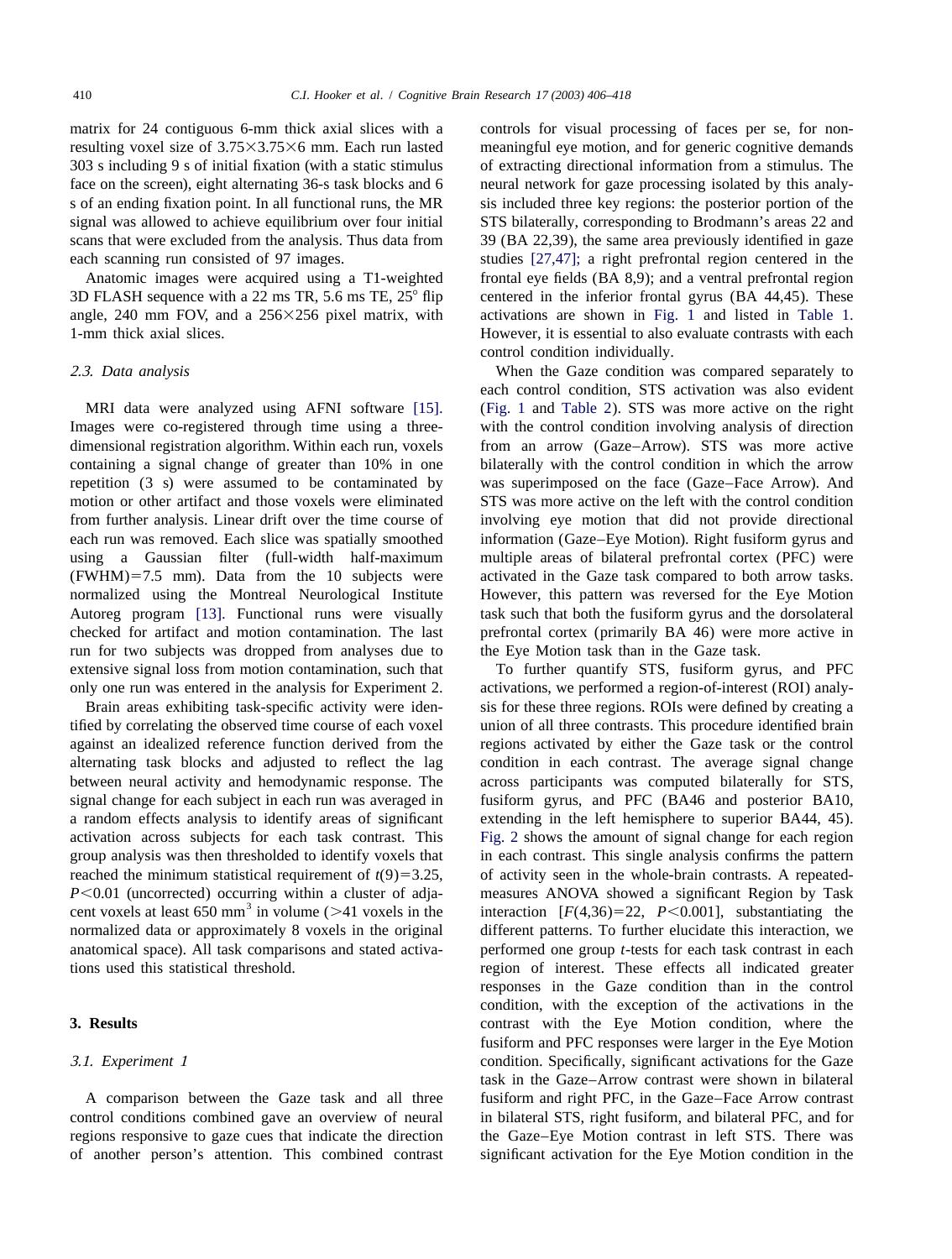resulting voxel size of  $3.75\times3.75\times6$  mm. Each run lasted meaningful eye motion, and for generic cognitive demands 303 s including 9 s of initial fixation (with a static stimulus of extracting directional information from a stimulus. The face on the screen), eight alternating 36-s task blocks and 6 neural network for gaze processing isolated by this analys of an ending fixation point. In all functional runs, the MR sis included three key regions: the posterior portion of the signal was allowed to achieve equilibrium over four initial STS bilaterally, corresponding to Brodmann's areas 22 and scans that were excluded from the analysis. Thus data from 39 (BA 22,39), the same area previously identified in gaze each scanning run consisted of 97 images. studies [\[27,47\];](#page-11-0) a right prefrontal region centered in the

Images were co-registered through time using a three- with the control condition involving analysis of direction dimensional registration algorithm. Within each run, voxels from an arrow (Gaze–Arrow). STS was more active containing a signal change of greater than 10% in one bilaterally with the control condition in which the arrow repetition (3 s) were assumed to be contaminated by was superimposed on the face (Gaze–Face Arrow). And motion or other artifact and those voxels were eliminated STS was more active on the left with the control condition from further analysis. Linear drift over the time course of involving eye motion that did not provide directional each run was removed. Each slice was spatially smoothed information (Gaze–Eye Motion). Right fusiform gyrus and using a Gaussian filter (full-width half-maximum multiple areas of bilateral prefrontal cortex (PFC) were  $(FWHM)=7.5$  mm). Data from the 10 subjects were activated in the Gaze task compared to both arrow tasks. normalized using the Montreal Neurological Institute However, this pattern was reversed for the Eye Motion Autoreg program [\[13\].](#page-11-0) Functional runs were visually task such that both the fusiform gyrus and the dorsolateral checked for artifact and motion contamination. The last prefrontal cortex (primarily BA 46) were more active in run for two subjects was dropped from analyses due to the Eye Motion task than in the Gaze task. extensive signal loss from motion contamination, such that To further quantify STS, fusiform gyrus, and PFC

control conditions combined gave an overview of neural in bilateral STS, right fusiform, and bilateral PFC, and for regions responsive to gaze cues that indicate the direction the Gaze–Eye Motion contrast in left STS. There was of another person's attention. This combined contrast significant activation for the Eye Motion condition in the

matrix for 24 contiguous 6-mm thick axial slices with a controls for visual processing of faces per se, for non-Anatomic images were acquired using a T1-weighted frontal eye fields (BA 8,9); and a ventral prefrontal region 3D FLASH sequence with a 22 ms TR, 5.6 ms TE,  $25^{\circ}$  flip centered in the inferior frontal gyrus (BA 44,45). These angle, 240 mm FOV, and a  $256\times256$  pixel matrix, with activations are shown in [Fig. 1](#page-2-0) and listed in [Table](#page-5-0) [1.](#page-5-0) 1-mm thick axial slices. However, it is essential to also evaluate contrasts with each control condition individually.

2 .3. *Data analysis* When the Gaze condition was compared separately to each control condition, STS activation was also evident MRI data were analyzed using AFNI software [\[15\].](#page-11-0) ([Fig. 1](#page-2-0) and [Table 2](#page-6-0)). STS was more active on the right

only one run was entered in the analysis for Experiment 2. activations, we performed a region-of-interest (ROI) analy-Brain areas exhibiting task-specific activity were iden- sis for these three regions. ROIs were defined by creating a tified by correlating the observed time course of each voxel union of all three contrasts. This procedure identified brain against an idealized reference function derived from the regions activated by either the Gaze task or the control alternating task blocks and adjusted to reflect the lag condition in each contrast. The average signal change between neural activity and hemodynamic response. The across participants was computed bilaterally for STS, signal change for each subject in each run was averaged in fusiform gyrus, and PFC (BA46 and posterior BA10, a random effects analysis to identify areas of significant extending in the left hemisphere to superior BA44, 45). activation across subjects for each task contrast. This [Fig. 2](#page-7-0) shows the amount of signal change for each region group analysis was then thresholded to identify voxels that in each contrast. This single analysis confirms the pattern reached the minimum statistical requirement of  $t(9)=3.25$ , of activity seen in the whole-brain contrasts. A repeated- $P<0.01$  (uncorrected) occurring within a cluster of adja-<br>cent voxels at least 650 mm<sup>3</sup> in volume (>41 voxels in the interaction [ $F(4,36)=22$ ,  $P<0.001$ ], substantiating the normalized data or approximately 8 voxels in the original different patterns. To further elucidate this interaction, we anatomical space). All task comparisons and stated activa- performed one group *t*-tests for each task contrast in each tions used this statistical threshold. region of interest. These effects all indicated greater responses in the Gaze condition than in the control condition, with the exception of the activations in the **3. Results** contrast with the Eye Motion condition, where the fusiform and PFC responses were larger in the Eye Motion 3 .1. *Experiment* <sup>1</sup> condition. Specifically, significant activations for the Gaze task in the Gaze–Arrow contrast were shown in bilateral A comparison between the Gaze task and all three fusiform and right PFC, in the Gaze–Face Arrow contrast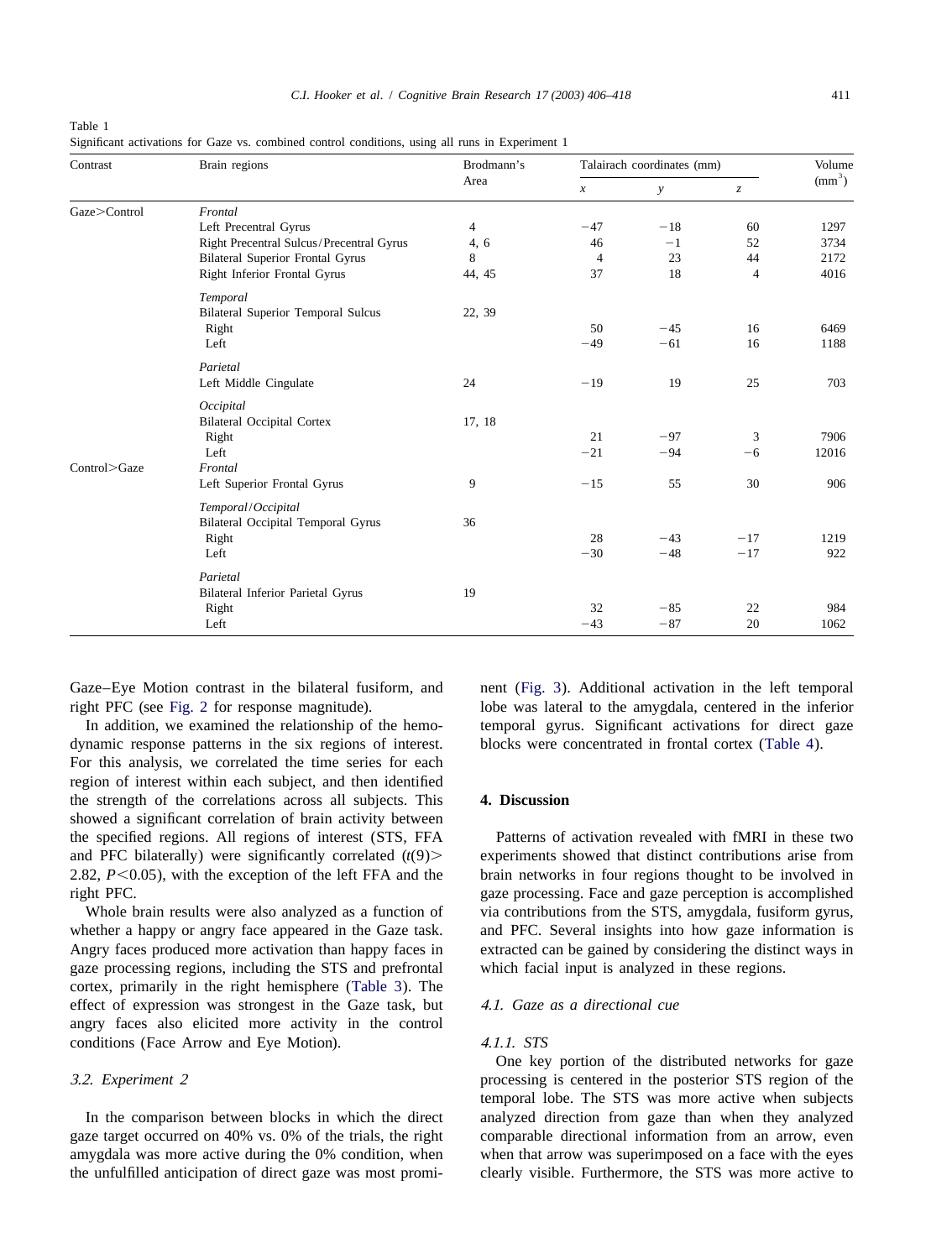<span id="page-5-0"></span>Table 1

Significant activations for Gaze vs. combined control conditions, using all runs in Experiment 1

| Contrast     | Brain regions                             | Brodmann's<br>Area | Talairach coordinates (mm) |       |                | Volume             |
|--------------|-------------------------------------------|--------------------|----------------------------|-------|----------------|--------------------|
|              |                                           |                    | $\boldsymbol{x}$           | у     | Z.             | (mm <sup>3</sup> ) |
| Gaze>Control | Frontal                                   |                    |                            |       |                |                    |
|              | Left Precentral Gyrus                     | 4                  | $-47$                      | $-18$ | 60             | 1297               |
|              | Right Precentral Sulcus/Precentral Gyrus  | 4, 6               | 46                         | $-1$  | 52             | 3734               |
|              | <b>Bilateral Superior Frontal Gyrus</b>   | 8                  | $\overline{4}$             | 23    | 44             | 2172               |
|              | Right Inferior Frontal Gyrus              | 44, 45             | 37                         | 18    | $\overline{4}$ | 4016               |
|              | Temporal                                  |                    |                            |       |                |                    |
|              | <b>Bilateral Superior Temporal Sulcus</b> | 22, 39             |                            |       |                |                    |
|              | Right                                     |                    | 50                         | $-45$ | 16             | 6469               |
|              | Left                                      |                    | $-49$                      | $-61$ | 16             | 1188               |
|              | Parietal                                  |                    |                            |       |                |                    |
|              | Left Middle Cingulate                     | 24                 | $-19$                      | 19    | 25             | 703                |
|              | Occipital                                 |                    |                            |       |                |                    |
|              | <b>Bilateral Occipital Cortex</b>         | 17, 18             |                            |       |                |                    |
|              | Right                                     |                    | 21                         | $-97$ | 3              | 7906               |
|              | Left                                      |                    | $-21$                      | $-94$ | $-6$           | 12016              |
| Control>Gaze | Frontal                                   |                    |                            |       |                |                    |
|              | Left Superior Frontal Gyrus               | 9                  | $-15$                      | 55    | 30             | 906                |
|              | Temporal/Occipital                        |                    |                            |       |                |                    |
|              | <b>Bilateral Occipital Temporal Gyrus</b> | 36                 |                            |       |                |                    |
|              | Right                                     |                    | 28                         | $-43$ | $-17$          | 1219               |
|              | Left                                      |                    | $-30$                      | $-48$ | $-17$          | 922                |
|              | Parietal                                  |                    |                            |       |                |                    |
|              | Bilateral Inferior Parietal Gyrus         | 19                 |                            |       |                |                    |
|              | Right                                     |                    | 32                         | $-85$ | 22             | 984                |
|              | Left                                      |                    | $-43$                      | $-87$ | 20             | 1062               |

dynamic response patterns in the six regions of interest. blocks were concentrated in frontal cortex ([Table 4](#page-9-0)). For this analysis, we correlated the time series for each region of interest within each subject, and then identified the strength of the correlations across all subjects. This **4. Discussion** showed a significant correlation of brain activity between the specified regions. All regions of interest (STS, FFA Patterns of activation revealed with fMRI in these two and PFC bilaterally) were significantly correlated  $(t(9)$  experiments showed that distinct contributions arise from 2.82, *P*<0.05), with the exception of the left FFA and the brain networks in four regions thought to be involved in right PFC. gaze processing. Face and gaze perception is accomplished

whether a happy or angry face appeared in the Gaze task. and PFC. Several insights into how gaze information is Angry faces produced more activation than happy faces in extracted can be gained by considering the distinct ways in gaze processing regions, including the STS and prefrontal which facial input is analyzed in these regions. cortex, primarily in the right hemisphere ([Table](#page-8-0) [3\)](#page-8-0). The effect of expression was strongest in the Gaze task, but 4 .1. *Gaze as a directional cue* angry faces also elicited more activity in the control conditions (Face Arrow and Eye Motion). 4 .1.1. *STS*

gaze target occurred on 40% vs. 0% of the trials, the right comparable directional information from an arrow, even amygdala was more active during the 0% condition, when when that arrow was superimposed on a face with the eyes the unfulfilled anticipation of direct gaze was most promi- clearly visible. Furthermore, the STS was more active to

Gaze–Eye Motion contrast in the bilateral fusiform, and nent ([Fig. 3](#page-8-0)). Additional activation in the left temporal right PFC (see [Fig.](#page-7-0) [2](#page-7-0) for response magnitude). lobe was lateral to the amygdala, centered in the inferior In addition, we examined the relationship of the hemo- temporal gyrus. Significant activations for direct gaze

Whole brain results were also analyzed as a function of via contributions from the STS, amygdala, fusiform gyrus,

One key portion of the distributed networks for gaze 3 .2. *Experiment* <sup>2</sup> processing is centered in the posterior STS region of the temporal lobe. The STS was more active when subjects In the comparison between blocks in which the direct analyzed direction from gaze than when they analyzed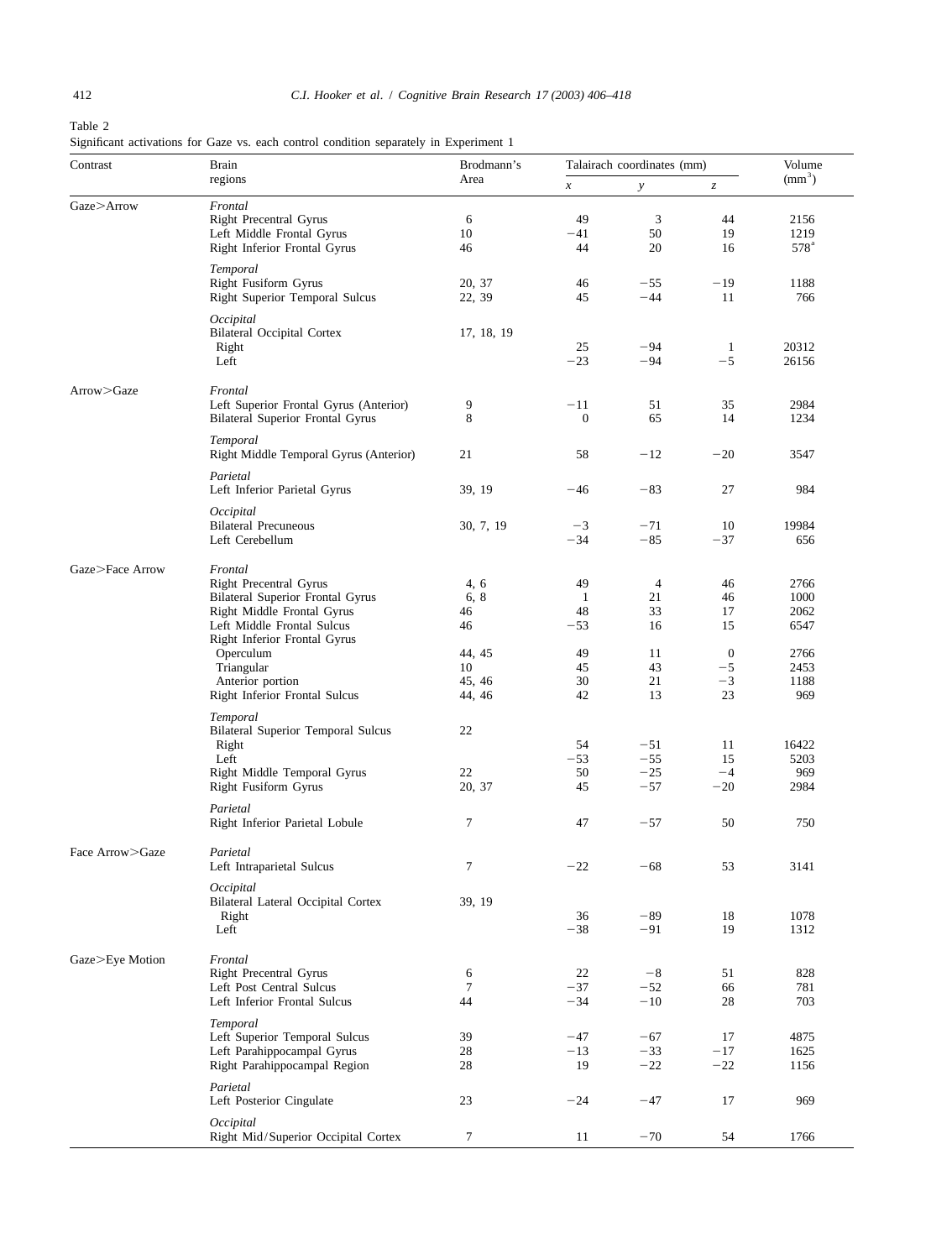### <span id="page-6-0"></span>Table 2 Significant activations for Gaze vs. each control condition separately in Experiment 1

| Contrast                                              | <b>Brain</b><br>regions                                               | Brodmann's   |                    | Talairach coordinates (mm) |                  |                    |
|-------------------------------------------------------|-----------------------------------------------------------------------|--------------|--------------------|----------------------------|------------------|--------------------|
|                                                       |                                                                       | Area         | $\boldsymbol{x}$   | $\mathcal{Y}$              | $\boldsymbol{z}$ | (mm <sup>3</sup> ) |
| Gaze>Arrow                                            | Frontal                                                               |              |                    |                            |                  |                    |
|                                                       | Right Precentral Gyrus                                                | 6            | 49                 | 3                          | 44               | 2156               |
|                                                       | Left Middle Frontal Gyrus                                             | 10           | $-41$              | 50                         | 19               | 1219               |
|                                                       | Right Inferior Frontal Gyrus                                          | 46           | 44                 | 20                         | 16               | $578^{\circ}$      |
|                                                       | Temporal                                                              |              |                    |                            |                  |                    |
|                                                       | Right Fusiform Gyrus                                                  | 20, 37       | 46                 | $-55$                      | $-19$            | 1188               |
|                                                       | Right Superior Temporal Sulcus                                        | 22, 39       | 45                 | $-44$                      | 11               | 766                |
|                                                       | Occipital                                                             |              |                    |                            |                  |                    |
|                                                       | <b>Bilateral Occipital Cortex</b>                                     | 17, 18, 19   |                    |                            |                  |                    |
|                                                       | Right                                                                 |              | 25                 | $-94$                      | 1                | 20312              |
|                                                       | Left                                                                  |              | $-23$              | $-94$                      | $-5$             | 26156              |
| Arrow>Gaze                                            | Frontal                                                               |              |                    |                            |                  |                    |
|                                                       | Left Superior Frontal Gyrus (Anterior)                                | 9            | $-11$              | 51                         | 35               | 2984               |
| Gaze>Face Arrow<br>Face Arrow>Gaze<br>Gaze>Eye Motion | <b>Bilateral Superior Frontal Gyrus</b>                               | 8            | $\mathbf{0}$       | 65                         | 14               | 1234               |
|                                                       | Temporal                                                              |              |                    |                            |                  |                    |
|                                                       | Right Middle Temporal Gyrus (Anterior)                                | 21           | 58                 | $-12$                      | $-20$            | 3547               |
|                                                       | Parietal                                                              |              |                    |                            |                  |                    |
|                                                       | Left Inferior Parietal Gyrus                                          | 39, 19       | $-46$              | $-83$                      | 27               | 984                |
|                                                       | Occipital                                                             |              |                    |                            |                  |                    |
|                                                       | <b>Bilateral Precuneous</b>                                           | 30, 7, 19    | $-3$               | $-71$                      | 10               | 19984              |
|                                                       | Left Cerebellum                                                       |              | $-34$              | $-85$                      | $-37$            | 656                |
|                                                       |                                                                       |              |                    |                            |                  |                    |
|                                                       | Frontal                                                               |              |                    |                            |                  |                    |
|                                                       | Right Precentral Gyrus                                                | 4, 6<br>6, 8 | 49                 | $\overline{4}$<br>21       | 46               | 2766               |
|                                                       | <b>Bilateral Superior Frontal Gyrus</b><br>Right Middle Frontal Gyrus | 46           | $\mathbf{1}$<br>48 | 33                         | 46<br>17         | 1000<br>2062       |
|                                                       | Left Middle Frontal Sulcus                                            | 46           | $-53$              | 16                         | 15               | 6547               |
|                                                       | Right Inferior Frontal Gyrus                                          |              |                    |                            |                  |                    |
|                                                       | Operculum                                                             | 44, 45       | 49                 | 11                         | $\mathbf{0}$     | 2766               |
|                                                       | Triangular                                                            | 10           | 45                 | 43                         | $-5$             | 2453               |
|                                                       | Anterior portion                                                      | 45, 46       | 30                 | 21                         | $-3$             | 1188               |
|                                                       | Right Inferior Frontal Sulcus                                         | 44, 46       | 42                 | 13                         | 23               | 969                |
|                                                       | Temporal                                                              |              |                    |                            |                  |                    |
|                                                       | <b>Bilateral Superior Temporal Sulcus</b>                             | 22           |                    |                            |                  |                    |
|                                                       | Right                                                                 |              | 54                 | $-51$                      | 11               | 16422              |
|                                                       | Left                                                                  |              | $-53$              | $-55$                      | 15               | 5203               |
|                                                       | Right Middle Temporal Gyrus                                           | 22           | 50                 | $-25$                      | $-4$             | 969                |
|                                                       | Right Fusiform Gyrus                                                  | 20, 37       | 45                 | $-57$                      | $-20$            | 2984               |
|                                                       | Parietal                                                              |              |                    |                            |                  |                    |
|                                                       | Right Inferior Parietal Lobule                                        | 7            | 47                 | $-57$                      | 50               | 750                |
|                                                       | Parietal                                                              |              |                    |                            |                  |                    |
|                                                       | Left Intraparietal Sulcus                                             | 7            | $-22$              | $-68$                      | 53               | 3141               |
|                                                       |                                                                       |              |                    |                            |                  |                    |
|                                                       | Occipital<br>Bilateral Lateral Occipital Cortex                       | 39, 19       |                    |                            |                  |                    |
|                                                       | Right                                                                 |              | 36                 | $-89$                      | 18               | 1078               |
|                                                       | Left                                                                  |              | $-38$              | $-91$                      | 19               | 1312               |
|                                                       |                                                                       |              |                    |                            |                  |                    |
|                                                       | Frontal                                                               |              |                    |                            |                  |                    |
|                                                       | Right Precentral Gyrus<br>Left Post Central Sulcus                    | 6<br>7       | 22<br>$-37$        | $-8$<br>$-52$              | 51               | 828<br>781         |
|                                                       | Left Inferior Frontal Sulcus                                          | 44           | $-34$              | $-10$                      | 66<br>28         | 703                |
|                                                       |                                                                       |              |                    |                            |                  |                    |
|                                                       | Temporal                                                              |              |                    |                            |                  |                    |
|                                                       | Left Superior Temporal Sulcus                                         | 39           | $-47$              | $-67$                      | 17               | 4875               |
|                                                       | Left Parahippocampal Gyrus                                            | 28<br>28     | $-13$<br>19        | $-33$<br>$-22$             | $-17$<br>$-22$   | 1625               |
|                                                       | Right Parahippocampal Region                                          |              |                    |                            |                  | 1156               |
|                                                       | Parietal                                                              |              |                    |                            |                  |                    |
|                                                       | Left Posterior Cingulate                                              | 23           | $-24$              | $-47$                      | 17               | 969                |
|                                                       | Occipital                                                             |              |                    |                            |                  |                    |
|                                                       | Right Mid/Superior Occipital Cortex                                   | 7            | 11                 | $-70$                      | 54               | 1766               |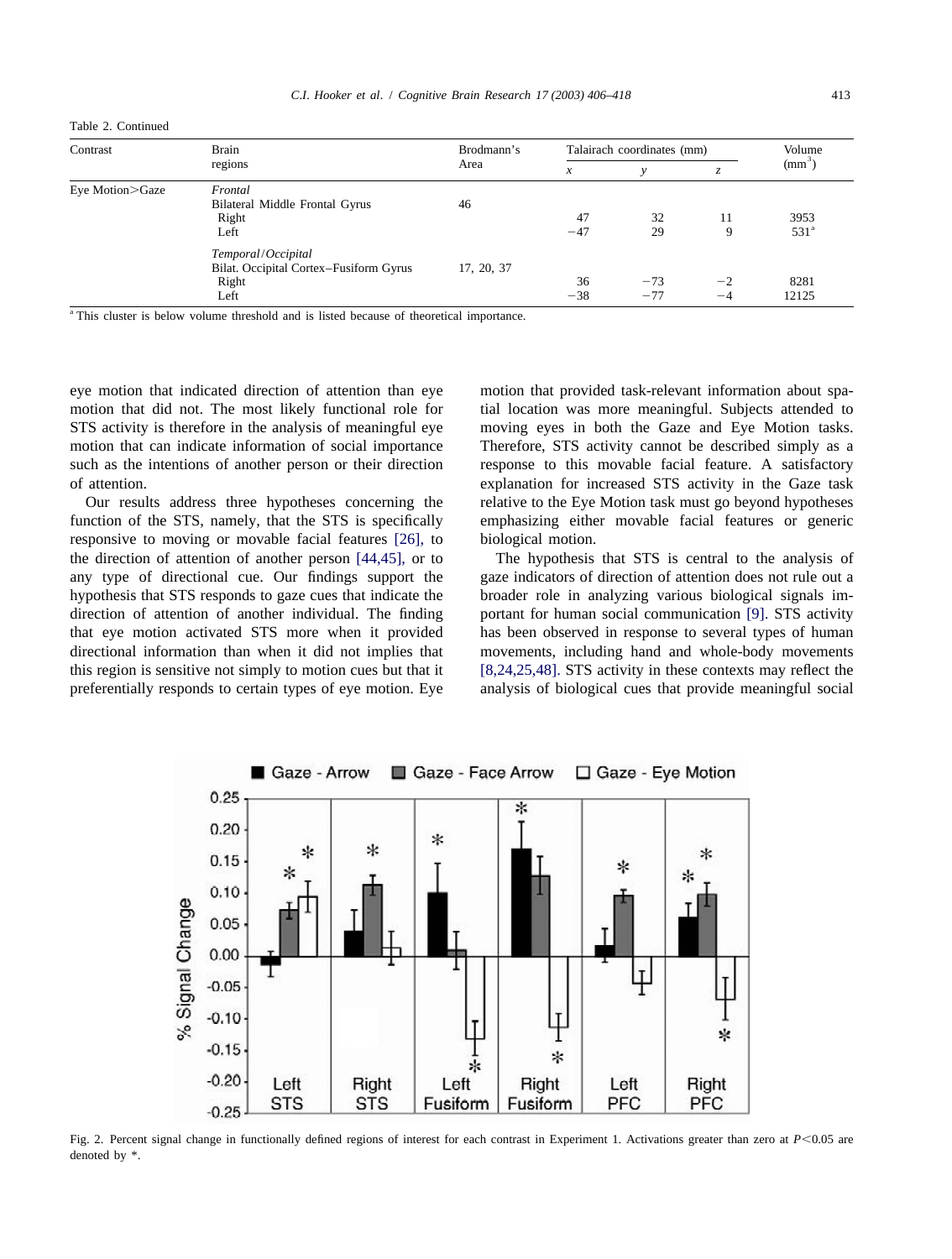<span id="page-7-0"></span>Table 2. Continued

| Contrast        | <b>Brain</b><br>regions                | Brodmann's<br>Area |               | Talairach coordinates (mm) |      |                  |
|-----------------|----------------------------------------|--------------------|---------------|----------------------------|------|------------------|
|                 |                                        |                    | $\mathcal{X}$ |                            |      | $(mm^3)$         |
| Eye Motion>Gaze | Frontal                                |                    |               |                            |      |                  |
|                 | Bilateral Middle Frontal Gyrus         | 46                 |               |                            |      |                  |
|                 | Right                                  |                    | 47            | 32                         | 11   | 3953             |
|                 | Left                                   |                    | $-47$         | 29                         |      | 531 <sup>a</sup> |
|                 | Temporal/Occipital                     |                    |               |                            |      |                  |
|                 | Bilat. Occipital Cortex-Fusiform Gyrus | 17, 20, 37         |               |                            |      |                  |
|                 | Right                                  |                    | 36            | $-73$                      | $-2$ | 8281             |
|                 | Left                                   |                    | $-38$         | $-77$                      | $-4$ | 12125            |

<sup>a</sup> This cluster is below volume threshold and is listed because of theoretical importance.

responsive to moving or movable facial features [\[26\],](#page-11-0) to biological motion. the direction of attention of another person [\[44,45\],](#page-11-0) or to The hypothesis that STS is central to the analysis of any type of directional cue. Our findings support the gaze indicators of direction of attention does not rule out a hypothesis that STS responds to gaze cues that indicate the broader role in analyzing various biological signals im-direction of attention of another individual. The finding portant for human social communication [\[9\].](#page-10-0) STS activity that eye motion activated STS more when it provided has been observed in response to several types of human directional information than when it did not implies that movements, including hand and whole-body movements this region is sensitive not simply to motion cues but that it  $[8,24,25,48]$ . STS activity in these contexts may reflect the preferentially responds to certain types of eye motion. Eye analysis of biological cues that provide meaningful social

eye motion that indicated direction of attention than eye motion that provided task-relevant information about spamotion that did not. The most likely functional role for tial location was more meaningful. Subjects attended to STS activity is therefore in the analysis of meaningful eye moving eyes in both the Gaze and Eye Motion tasks. motion that can indicate information of social importance Therefore, STS activity cannot be described simply as a such as the intentions of another person or their direction response to this movable facial feature. A satisfactory of attention. explanation for increased STS activity in the Gaze task Our results address three hypotheses concerning the relative to the Eye Motion task must go beyond hypotheses function of the STS, namely, that the STS is specifically emphasizing either movable facial features or generic



Fig. 2. Percent signal change in functionally defined regions of interest for each contrast in Experiment 1. Activations greater than zero at  $P<0.05$  are denoted by \*.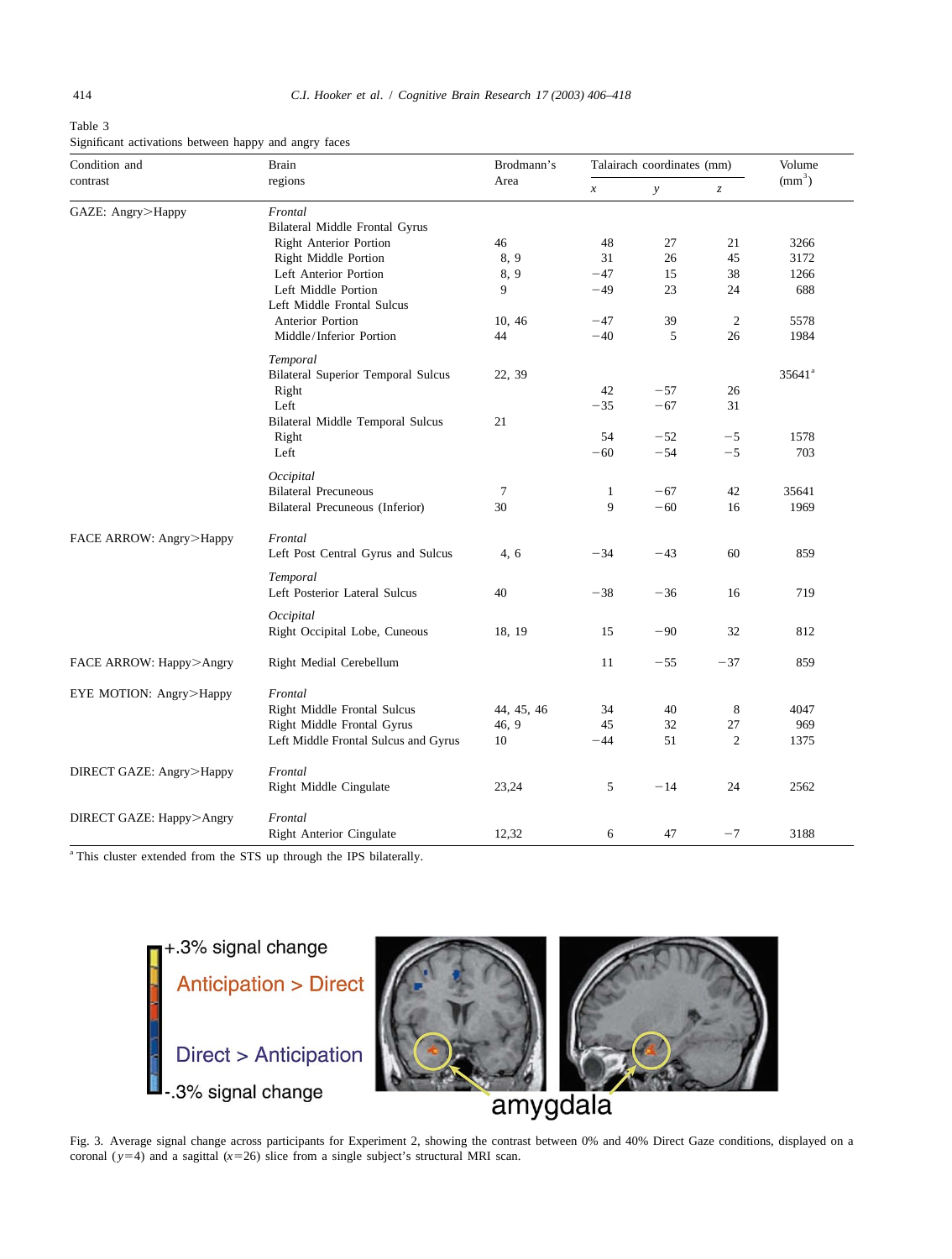## <span id="page-8-0"></span>Table 3

Significant activations between happy and angry faces

| $\boldsymbol{x}$<br>$\mathcal{Y}$<br>$\ensuremath{\mathnormal{Z}}$<br>Frontal<br>GAZE: Angry>Happy<br><b>Bilateral Middle Frontal Gyrus</b><br><b>Right Anterior Portion</b><br>46<br>48<br>27<br>21<br>3266<br>8, 9<br>31<br>45<br>Right Middle Portion<br>26<br>3172<br>8, 9<br>Left Anterior Portion<br>$-47$<br>15<br>38<br>1266<br>9<br>Left Middle Portion<br>$-49$<br>23<br>24<br>688<br>Left Middle Frontal Sulcus<br>39<br>2<br>5578<br>Anterior Portion<br>10, 46<br>$-47$<br>44<br>$-40$<br>5<br>26<br>1984<br>Middle/Inferior Portion<br>Temporal<br>$35641$ <sup>a</sup><br><b>Bilateral Superior Temporal Sulcus</b><br>22, 39<br>42<br>$-57$<br>26<br>Right<br>Left<br>$-67$<br>31<br>$-35$<br>Bilateral Middle Temporal Sulcus<br>21<br>54<br>$-52$<br>$-5$<br>1578<br>Right<br>703<br>Left<br>$-60$<br>$-54$<br>$-5$<br>Occipital<br><b>Bilateral Precuneous</b><br>42<br>35641<br>$\tau$<br>$-67$<br>$\mathbf{1}$<br>9<br>$-60$<br><b>Bilateral Precuneous (Inferior)</b><br>30<br>16<br>1969<br>FACE ARROW: Angry>Happy<br>Frontal<br>60<br>859<br>Left Post Central Gyrus and Sulcus<br>4, 6<br>$-34$<br>$-43$<br>Temporal<br>Left Posterior Lateral Sulcus<br>40<br>$-38$<br>$-36$<br>16<br>719<br>Occipital<br>Right Occipital Lobe, Cuneous<br>18, 19<br>15<br>$-90$<br>32<br>812<br>Right Medial Cerebellum<br>11<br>$-55$<br>$-37$<br>859<br>EYE MOTION: Angry>Happy<br>Frontal<br>Right Middle Frontal Sulcus<br>8<br>4047<br>44, 45, 46<br>34<br>40<br>Right Middle Frontal Gyrus<br>46, 9<br>45<br>32<br>27<br>969<br>51<br>$\overline{2}$<br>Left Middle Frontal Sulcus and Gyrus<br>10<br>$-44$<br>1375<br>DIRECT GAZE: Angry>Happy<br>Frontal<br>24<br>Right Middle Cingulate<br>23,24<br>5<br>$-14$<br>2562<br>DIRECT GAZE: Happy>Angry<br>Frontal<br>12,32<br>47<br>$-7$<br>3188<br><b>Right Anterior Cingulate</b><br>6 | Condition and           | <b>Brain</b> | Brodmann's | Talairach coordinates (mm) |  |  | Volume             |
|-----------------------------------------------------------------------------------------------------------------------------------------------------------------------------------------------------------------------------------------------------------------------------------------------------------------------------------------------------------------------------------------------------------------------------------------------------------------------------------------------------------------------------------------------------------------------------------------------------------------------------------------------------------------------------------------------------------------------------------------------------------------------------------------------------------------------------------------------------------------------------------------------------------------------------------------------------------------------------------------------------------------------------------------------------------------------------------------------------------------------------------------------------------------------------------------------------------------------------------------------------------------------------------------------------------------------------------------------------------------------------------------------------------------------------------------------------------------------------------------------------------------------------------------------------------------------------------------------------------------------------------------------------------------------------------------------------------------------------------------------------------------------------------------------------------------------------------------------------------|-------------------------|--------------|------------|----------------------------|--|--|--------------------|
|                                                                                                                                                                                                                                                                                                                                                                                                                                                                                                                                                                                                                                                                                                                                                                                                                                                                                                                                                                                                                                                                                                                                                                                                                                                                                                                                                                                                                                                                                                                                                                                                                                                                                                                                                                                                                                                           | contrast                | regions      | Area       |                            |  |  | (mm <sup>3</sup> ) |
|                                                                                                                                                                                                                                                                                                                                                                                                                                                                                                                                                                                                                                                                                                                                                                                                                                                                                                                                                                                                                                                                                                                                                                                                                                                                                                                                                                                                                                                                                                                                                                                                                                                                                                                                                                                                                                                           |                         |              |            |                            |  |  |                    |
|                                                                                                                                                                                                                                                                                                                                                                                                                                                                                                                                                                                                                                                                                                                                                                                                                                                                                                                                                                                                                                                                                                                                                                                                                                                                                                                                                                                                                                                                                                                                                                                                                                                                                                                                                                                                                                                           |                         |              |            |                            |  |  |                    |
|                                                                                                                                                                                                                                                                                                                                                                                                                                                                                                                                                                                                                                                                                                                                                                                                                                                                                                                                                                                                                                                                                                                                                                                                                                                                                                                                                                                                                                                                                                                                                                                                                                                                                                                                                                                                                                                           |                         |              |            |                            |  |  |                    |
|                                                                                                                                                                                                                                                                                                                                                                                                                                                                                                                                                                                                                                                                                                                                                                                                                                                                                                                                                                                                                                                                                                                                                                                                                                                                                                                                                                                                                                                                                                                                                                                                                                                                                                                                                                                                                                                           |                         |              |            |                            |  |  |                    |
|                                                                                                                                                                                                                                                                                                                                                                                                                                                                                                                                                                                                                                                                                                                                                                                                                                                                                                                                                                                                                                                                                                                                                                                                                                                                                                                                                                                                                                                                                                                                                                                                                                                                                                                                                                                                                                                           |                         |              |            |                            |  |  |                    |
|                                                                                                                                                                                                                                                                                                                                                                                                                                                                                                                                                                                                                                                                                                                                                                                                                                                                                                                                                                                                                                                                                                                                                                                                                                                                                                                                                                                                                                                                                                                                                                                                                                                                                                                                                                                                                                                           |                         |              |            |                            |  |  |                    |
|                                                                                                                                                                                                                                                                                                                                                                                                                                                                                                                                                                                                                                                                                                                                                                                                                                                                                                                                                                                                                                                                                                                                                                                                                                                                                                                                                                                                                                                                                                                                                                                                                                                                                                                                                                                                                                                           |                         |              |            |                            |  |  |                    |
|                                                                                                                                                                                                                                                                                                                                                                                                                                                                                                                                                                                                                                                                                                                                                                                                                                                                                                                                                                                                                                                                                                                                                                                                                                                                                                                                                                                                                                                                                                                                                                                                                                                                                                                                                                                                                                                           |                         |              |            |                            |  |  |                    |
|                                                                                                                                                                                                                                                                                                                                                                                                                                                                                                                                                                                                                                                                                                                                                                                                                                                                                                                                                                                                                                                                                                                                                                                                                                                                                                                                                                                                                                                                                                                                                                                                                                                                                                                                                                                                                                                           |                         |              |            |                            |  |  |                    |
|                                                                                                                                                                                                                                                                                                                                                                                                                                                                                                                                                                                                                                                                                                                                                                                                                                                                                                                                                                                                                                                                                                                                                                                                                                                                                                                                                                                                                                                                                                                                                                                                                                                                                                                                                                                                                                                           |                         |              |            |                            |  |  |                    |
|                                                                                                                                                                                                                                                                                                                                                                                                                                                                                                                                                                                                                                                                                                                                                                                                                                                                                                                                                                                                                                                                                                                                                                                                                                                                                                                                                                                                                                                                                                                                                                                                                                                                                                                                                                                                                                                           |                         |              |            |                            |  |  |                    |
|                                                                                                                                                                                                                                                                                                                                                                                                                                                                                                                                                                                                                                                                                                                                                                                                                                                                                                                                                                                                                                                                                                                                                                                                                                                                                                                                                                                                                                                                                                                                                                                                                                                                                                                                                                                                                                                           |                         |              |            |                            |  |  |                    |
|                                                                                                                                                                                                                                                                                                                                                                                                                                                                                                                                                                                                                                                                                                                                                                                                                                                                                                                                                                                                                                                                                                                                                                                                                                                                                                                                                                                                                                                                                                                                                                                                                                                                                                                                                                                                                                                           |                         |              |            |                            |  |  |                    |
|                                                                                                                                                                                                                                                                                                                                                                                                                                                                                                                                                                                                                                                                                                                                                                                                                                                                                                                                                                                                                                                                                                                                                                                                                                                                                                                                                                                                                                                                                                                                                                                                                                                                                                                                                                                                                                                           |                         |              |            |                            |  |  |                    |
|                                                                                                                                                                                                                                                                                                                                                                                                                                                                                                                                                                                                                                                                                                                                                                                                                                                                                                                                                                                                                                                                                                                                                                                                                                                                                                                                                                                                                                                                                                                                                                                                                                                                                                                                                                                                                                                           |                         |              |            |                            |  |  |                    |
|                                                                                                                                                                                                                                                                                                                                                                                                                                                                                                                                                                                                                                                                                                                                                                                                                                                                                                                                                                                                                                                                                                                                                                                                                                                                                                                                                                                                                                                                                                                                                                                                                                                                                                                                                                                                                                                           |                         |              |            |                            |  |  |                    |
|                                                                                                                                                                                                                                                                                                                                                                                                                                                                                                                                                                                                                                                                                                                                                                                                                                                                                                                                                                                                                                                                                                                                                                                                                                                                                                                                                                                                                                                                                                                                                                                                                                                                                                                                                                                                                                                           |                         |              |            |                            |  |  |                    |
|                                                                                                                                                                                                                                                                                                                                                                                                                                                                                                                                                                                                                                                                                                                                                                                                                                                                                                                                                                                                                                                                                                                                                                                                                                                                                                                                                                                                                                                                                                                                                                                                                                                                                                                                                                                                                                                           |                         |              |            |                            |  |  |                    |
|                                                                                                                                                                                                                                                                                                                                                                                                                                                                                                                                                                                                                                                                                                                                                                                                                                                                                                                                                                                                                                                                                                                                                                                                                                                                                                                                                                                                                                                                                                                                                                                                                                                                                                                                                                                                                                                           |                         |              |            |                            |  |  |                    |
|                                                                                                                                                                                                                                                                                                                                                                                                                                                                                                                                                                                                                                                                                                                                                                                                                                                                                                                                                                                                                                                                                                                                                                                                                                                                                                                                                                                                                                                                                                                                                                                                                                                                                                                                                                                                                                                           |                         |              |            |                            |  |  |                    |
|                                                                                                                                                                                                                                                                                                                                                                                                                                                                                                                                                                                                                                                                                                                                                                                                                                                                                                                                                                                                                                                                                                                                                                                                                                                                                                                                                                                                                                                                                                                                                                                                                                                                                                                                                                                                                                                           |                         |              |            |                            |  |  |                    |
|                                                                                                                                                                                                                                                                                                                                                                                                                                                                                                                                                                                                                                                                                                                                                                                                                                                                                                                                                                                                                                                                                                                                                                                                                                                                                                                                                                                                                                                                                                                                                                                                                                                                                                                                                                                                                                                           |                         |              |            |                            |  |  |                    |
|                                                                                                                                                                                                                                                                                                                                                                                                                                                                                                                                                                                                                                                                                                                                                                                                                                                                                                                                                                                                                                                                                                                                                                                                                                                                                                                                                                                                                                                                                                                                                                                                                                                                                                                                                                                                                                                           |                         |              |            |                            |  |  |                    |
|                                                                                                                                                                                                                                                                                                                                                                                                                                                                                                                                                                                                                                                                                                                                                                                                                                                                                                                                                                                                                                                                                                                                                                                                                                                                                                                                                                                                                                                                                                                                                                                                                                                                                                                                                                                                                                                           |                         |              |            |                            |  |  |                    |
|                                                                                                                                                                                                                                                                                                                                                                                                                                                                                                                                                                                                                                                                                                                                                                                                                                                                                                                                                                                                                                                                                                                                                                                                                                                                                                                                                                                                                                                                                                                                                                                                                                                                                                                                                                                                                                                           |                         |              |            |                            |  |  |                    |
|                                                                                                                                                                                                                                                                                                                                                                                                                                                                                                                                                                                                                                                                                                                                                                                                                                                                                                                                                                                                                                                                                                                                                                                                                                                                                                                                                                                                                                                                                                                                                                                                                                                                                                                                                                                                                                                           | FACE ARROW: Happy>Angry |              |            |                            |  |  |                    |
|                                                                                                                                                                                                                                                                                                                                                                                                                                                                                                                                                                                                                                                                                                                                                                                                                                                                                                                                                                                                                                                                                                                                                                                                                                                                                                                                                                                                                                                                                                                                                                                                                                                                                                                                                                                                                                                           |                         |              |            |                            |  |  |                    |
|                                                                                                                                                                                                                                                                                                                                                                                                                                                                                                                                                                                                                                                                                                                                                                                                                                                                                                                                                                                                                                                                                                                                                                                                                                                                                                                                                                                                                                                                                                                                                                                                                                                                                                                                                                                                                                                           |                         |              |            |                            |  |  |                    |
|                                                                                                                                                                                                                                                                                                                                                                                                                                                                                                                                                                                                                                                                                                                                                                                                                                                                                                                                                                                                                                                                                                                                                                                                                                                                                                                                                                                                                                                                                                                                                                                                                                                                                                                                                                                                                                                           |                         |              |            |                            |  |  |                    |
|                                                                                                                                                                                                                                                                                                                                                                                                                                                                                                                                                                                                                                                                                                                                                                                                                                                                                                                                                                                                                                                                                                                                                                                                                                                                                                                                                                                                                                                                                                                                                                                                                                                                                                                                                                                                                                                           |                         |              |            |                            |  |  |                    |
|                                                                                                                                                                                                                                                                                                                                                                                                                                                                                                                                                                                                                                                                                                                                                                                                                                                                                                                                                                                                                                                                                                                                                                                                                                                                                                                                                                                                                                                                                                                                                                                                                                                                                                                                                                                                                                                           |                         |              |            |                            |  |  |                    |
|                                                                                                                                                                                                                                                                                                                                                                                                                                                                                                                                                                                                                                                                                                                                                                                                                                                                                                                                                                                                                                                                                                                                                                                                                                                                                                                                                                                                                                                                                                                                                                                                                                                                                                                                                                                                                                                           |                         |              |            |                            |  |  |                    |
|                                                                                                                                                                                                                                                                                                                                                                                                                                                                                                                                                                                                                                                                                                                                                                                                                                                                                                                                                                                                                                                                                                                                                                                                                                                                                                                                                                                                                                                                                                                                                                                                                                                                                                                                                                                                                                                           |                         |              |            |                            |  |  |                    |
|                                                                                                                                                                                                                                                                                                                                                                                                                                                                                                                                                                                                                                                                                                                                                                                                                                                                                                                                                                                                                                                                                                                                                                                                                                                                                                                                                                                                                                                                                                                                                                                                                                                                                                                                                                                                                                                           |                         |              |            |                            |  |  |                    |
|                                                                                                                                                                                                                                                                                                                                                                                                                                                                                                                                                                                                                                                                                                                                                                                                                                                                                                                                                                                                                                                                                                                                                                                                                                                                                                                                                                                                                                                                                                                                                                                                                                                                                                                                                                                                                                                           |                         |              |            |                            |  |  |                    |

<sup>a</sup> This cluster extended from the STS up through the IPS bilaterally.







amygdala

Fig. 3. Average signal change across participants for Experiment 2, showing the contrast between 0% and 40% Direct Gaze conditions, displayed on a coronal ( $y=4$ ) and a sagittal ( $x=26$ ) slice from a single subject's structural MRI scan.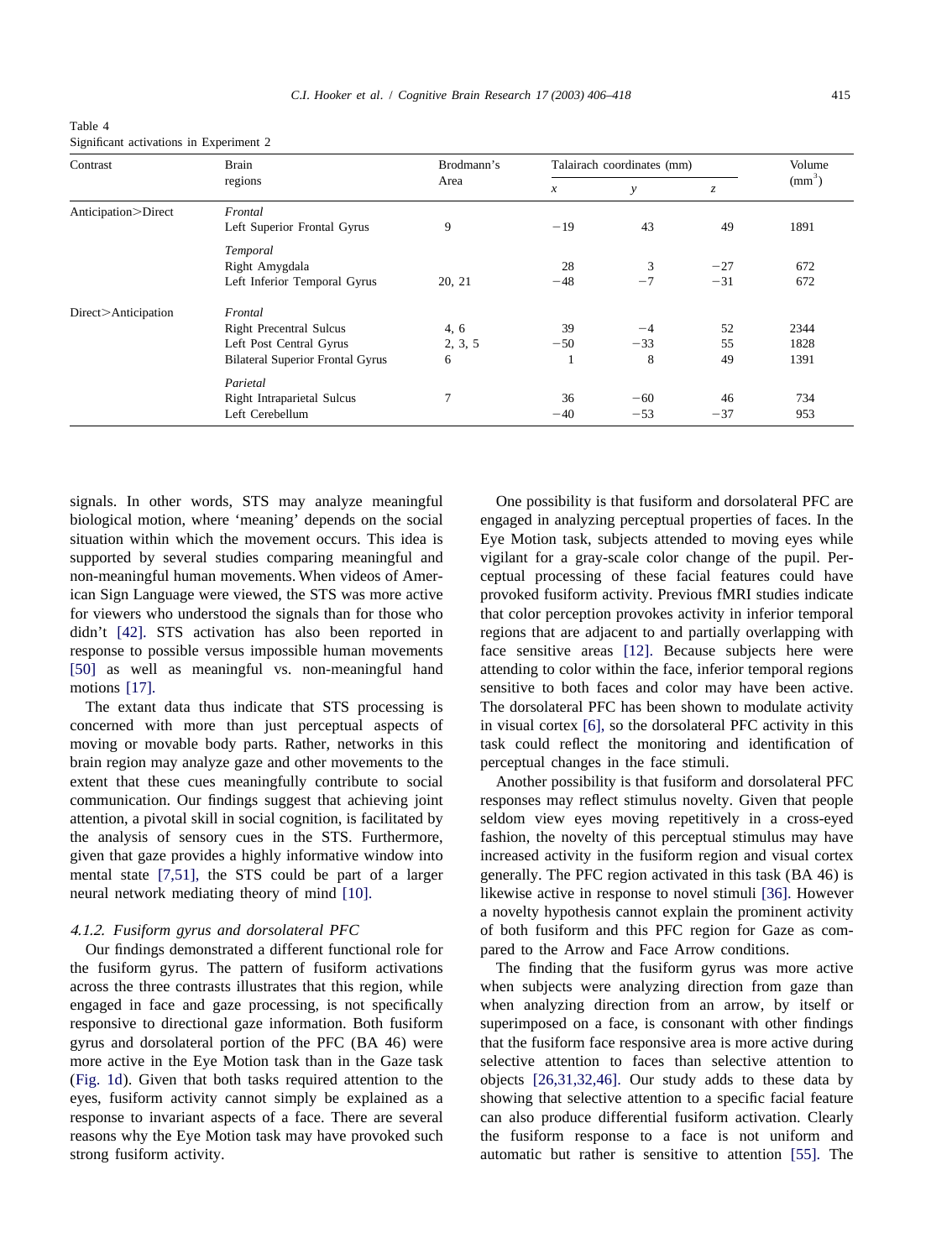<span id="page-9-0"></span>Table 4 Significant activations in Experiment 2

| Contrast            | <b>Brain</b><br>regions                 | Brodmann's | Talairach coordinates (mm) |               |       | Volume             |
|---------------------|-----------------------------------------|------------|----------------------------|---------------|-------|--------------------|
|                     |                                         | Area       | $\boldsymbol{x}$           | $\mathcal{Y}$ | Z.    | (mm <sup>3</sup> ) |
| Anticipation>Direct | Frontal                                 |            |                            |               |       |                    |
|                     | Left Superior Frontal Gyrus             | 9          | $-19$                      | 43            | 49    | 1891               |
|                     | Temporal                                |            |                            |               |       |                    |
|                     | Right Amygdala                          |            | 28                         | 3             | $-27$ | 672                |
|                     | Left Inferior Temporal Gyrus            | 20, 21     | $-48$                      | $-7$          | $-31$ | 672                |
| Direct>Anticipation | Frontal                                 |            |                            |               |       |                    |
|                     | <b>Right Precentral Sulcus</b>          | 4, 6       | 39                         | $-4$          | 52    | 2344               |
|                     | Left Post Central Gyrus                 | 2, 3, 5    | $-50$                      | $-33$         | 55    | 1828               |
|                     | <b>Bilateral Superior Frontal Gyrus</b> | 6          |                            | 8             | 49    | 1391               |
|                     | Parietal                                |            |                            |               |       |                    |
|                     | <b>Right Intraparietal Sulcus</b>       | 7          | 36                         | $-60$         | 46    | 734                |
|                     | Left Cerebellum                         |            | $-40$                      | $-53$         | $-37$ | 953                |

biological motion, where 'meaning' depends on the social engaged in analyzing perceptual properties of faces. In the situation within which the movement occurs. This idea is Eye Motion task, subjects attended to moving eyes while supported by several studies comparing meaningful and vigilant for a gray-scale color change of the pupil. Pernon-meaningful human movements. When videos of Amer- ceptual processing of these facial features could have ican Sign Language were viewed, the STS was more active provoked fusiform activity. Previous fMRI studies indicate for viewers who understood the signals than for those who that color perception provokes activity in inferior temporal didn't [\[42\].](#page-11-0) STS activation has also been reported in regions that are adjacent to and partially overlapping with response to possible versus impossible human movements face sensitive areas [\[12\].](#page-11-0) Because subjects here were [\[50\]](#page-11-0) as well as meaningful vs. non-meaningful hand attending to color within the face, inferior temporal regions motions [\[17\].](#page-11-0) sensitive to both faces and color may have been active.

concerned with more than just perceptual aspects of in visual cortex [\[6\],](#page-10-0) so the dorsolateral PFC activity in this moving or movable body parts. Rather, networks in this task could reflect the monitoring and identification of brain region may analyze gaze and other movements to the perceptual changes in the face stimuli. extent that these cues meaningfully contribute to social Another possibility is that fusiform and dorsolateral PFC communication. Our findings suggest that achieving joint responses may reflect stimulus novelty. Given that people attention, a pivotal skill in social cognition, is facilitated by seldom view eyes moving repetitively in a cross-eyed the analysis of sensory cues in the STS. Furthermore, fashion, the novelty of this perceptual stimulus may have given that gaze provides a highly informative window into increased activity in the fusiform region and visual cortex mental state [\[7,51\],](#page-10-0) the STS could be part of a larger generally. The PFC region activated in this task (BA 46) is neural network mediating theory of mind [\[10\].](#page-10-0) likewise active in response to novel stimuli [\[36\].](#page-11-0) However

the fusiform gyrus. The pattern of fusiform activations The finding that the fusiform gyrus was more active across the three contrasts illustrates that this region, while when subjects were analyzing direction from gaze than engaged in face and gaze processing, is not specifically when analyzing direction from an arrow, by itself or responsive to directional gaze information. Both fusiform superimposed on a face, is consonant with other findings gyrus and dorsolateral portion of the PFC (BA 46) were that the fusiform face responsive area is more active during more active in the Eye Motion task than in the Gaze task selective attention to faces than selective attention to ([Fig. 1d](#page-2-0)). Given that both tasks required attention to the objects [\[26,31,32,46\].](#page-11-0) Our study adds to these data by eyes, fusiform activity cannot simply be explained as a showing that selective attention to a specific facial feature response to invariant aspects of a face. There are several can also produce differential fusiform activation. Clearly reasons why the Eye Motion task may have provoked such the fusiform response to a face is not uniform and strong fusiform activity. The automatic but rather is sensitive to attention [\[55\].](#page-12-0) The

signals. In other words, STS may analyze meaningful One possibility is that fusiform and dorsolateral PFC are The extant data thus indicate that STS processing is The dorsolateral PFC has been shown to modulate activity

a novelty hypothesis cannot explain the prominent activity 4.1.2. *Fusiform gyrus and dorsolateral PFC* of both fusiform and this PFC region for Gaze as com-Our findings demonstrated a different functional role for pared to the Arrow and Face Arrow conditions.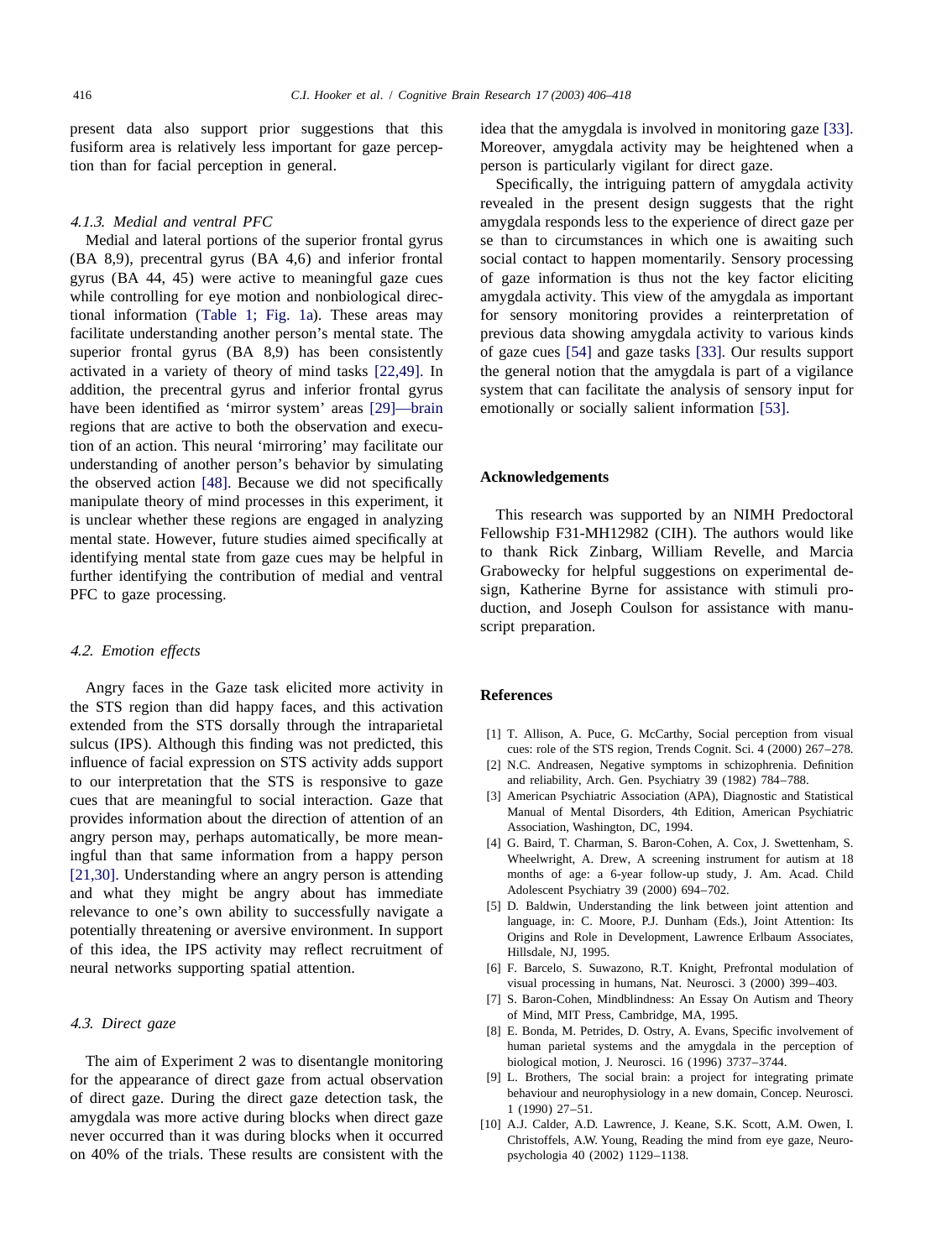fusiform area is relatively less important for gaze percep- Moreover, amygdala activity may be heightened when a tion than for facial perception in general. **person** is particularly vigilant for direct gaze.

have been identified as 'mirror system' areas [\[29\]—brain](#page-11-0) emotionally or socially salient information [\[53\].](#page-11-0) regions that are active to both the observation and execution of an action. This neural 'mirroring' may facilitate our understanding of another person's behavior by simulating **Acknowledgements** the observed action [\[48\].](#page-11-0) Because we did not specifically manipulate theory of mind processes in this experiment, it<br>is unclear whether these regions are engaged in analyzing This research was supported by an NIMH Predoctoral mental state. However, future studies aimed specifically at Fellowship F31-MH12982 (CIH). The authors would like<br>identifying mental state from gaze cues may be beloful in to thank Rick Zinbarg, William Revelle, and Marcia

### 4 .2. *Emotion effects*

Angry faces in the Gaze task elicited more activity in **References** the STS region than did happy faces, and this activation extended from the STS dorsally through the intraparietal sulcus (IPS). Although this finding was not predicted, this [1] T. Allison, A. Puce, G. McCarthy, Social perception from visual cues: role of the STS region, Trends influence of facial expression on STS activity adds support [2] N.C. Andreasen, Negative symptoms in schizophrenia. Definition to our interpretation that the STS is responsive to gaze and reliability, Arch. Gen. Psychiatry 39 (1982) 784–788.<br>
cues that are meaningful to social interaction Gaze that [3] American Psychiatric Association (APA), Diagn cues that are meaningful to social interaction. Gaze that [3] American Psychiatric Association (APA), Diagnostic and Statistical<br>provides information about the direction of attention of an<br>angry person may, perhaps automat ingful than that same information from a happy person Wheelwright, A. Drew, A screening instrument for autism at 18 [\[21,30\].](#page-11-0) Understanding where an angry person is attending months of age: a 6-year follow-up study, J. Am. Acad. Child and what they might be angry about has immediate and Adolescent Psychiatry 39 (2000) 694–702.<br>
Televance to one's own ability to successfully navigate a<br>
potentially threatening or aversive environment. In support and Role of this idea, the IPS activity may reflect recruitment of Hillsdale, NJ, 1995. neural networks supporting spatial attention. [6] F. Barcelo, S. Suwazono, R.T. Knight, Prefrontal modulation of

The aim of Experiment 2 was to disentangle monitoring biological motion, J. Neurosci. 16 (1996) 3737–3744. for the appearance of direct gaze from actual observation [9] L. Brothers, The social brain: a project for integrating primate of direct gaze During the direct gaze detection task the behaviour and neurophysiology in a new of direct gaze. During the direct gaze detection task, the<br>amygdala was more active during blocks when direct gaze<br>never occurred than it was during blocks when it occurred<br>never occurred than it was during blocks when it on 40% of the trials. These results are consistent with the psychologia 40 (2002) 1129–1138.

<span id="page-10-0"></span>present data also support prior suggestions that this idea that the amygdala is involved in monitoring gaze [\[33\].](#page-11-0)

Specifically, the intriguing pattern of amygdala activity revealed in the present design suggests that the right 4 .1.3. *Medial and ventral PFC* amygdala responds less to the experience of direct gaze per Medial and lateral portions of the superior frontal gyrus se than to circumstances in which one is awaiting such (BA 8,9), precentral gyrus (BA 4,6) and inferior frontal social contact to happen momentarily. Sensory processing gyrus (BA 44, 45) were active to meaningful gaze cues of gaze information is thus not the key factor eliciting while controlling for eye motion and nonbiological direc- amygdala activity. This view of the amygdala as important tional information ([Table](#page-5-0) [1;](#page-5-0) [Fig. 1a\)](#page-2-0). These areas may for sensory monitoring provides a reinterpretation of facilitate understanding another person's mental state. The previous data showing amygdala activity to various kinds superior frontal gyrus (BA 8,9) has been consistently of gaze cues [\[54\]](#page-11-0) and gaze tasks [\[33\].](#page-11-0) Our results support activated in a variety of theory of mind tasks [\[22,49\].](#page-11-0) In the general notion that the amygdala is part of a vigilance addition, the precentral gyrus and inferior frontal gyrus system that can facilitate the analysis of sensory input for

identifying mental state from gaze cues may be helpful in<br>further identifying the contribution of medial and ventral<br>PFC to gaze processing.<br>PFC to gaze processing.<br>The medial and ventral design, Katherine Byrne for assist script preparation.

- 
- 
- 
- 
- 
- visual processing in humans, Nat. Neurosci. 3 (2000) 399–403.
- [7] S. Baron-Cohen, Mindblindness: An Essay On Autism and Theory **of Mind, MIT Press, Cambridge, MA, 1995.** 6 .3. *Direct gaze* [8] E. Bonda, M. Petrides, D. Ostry, A. Evans, Specific involvement of
	- human parietal systems and the amygdala in the perception of
	-
	-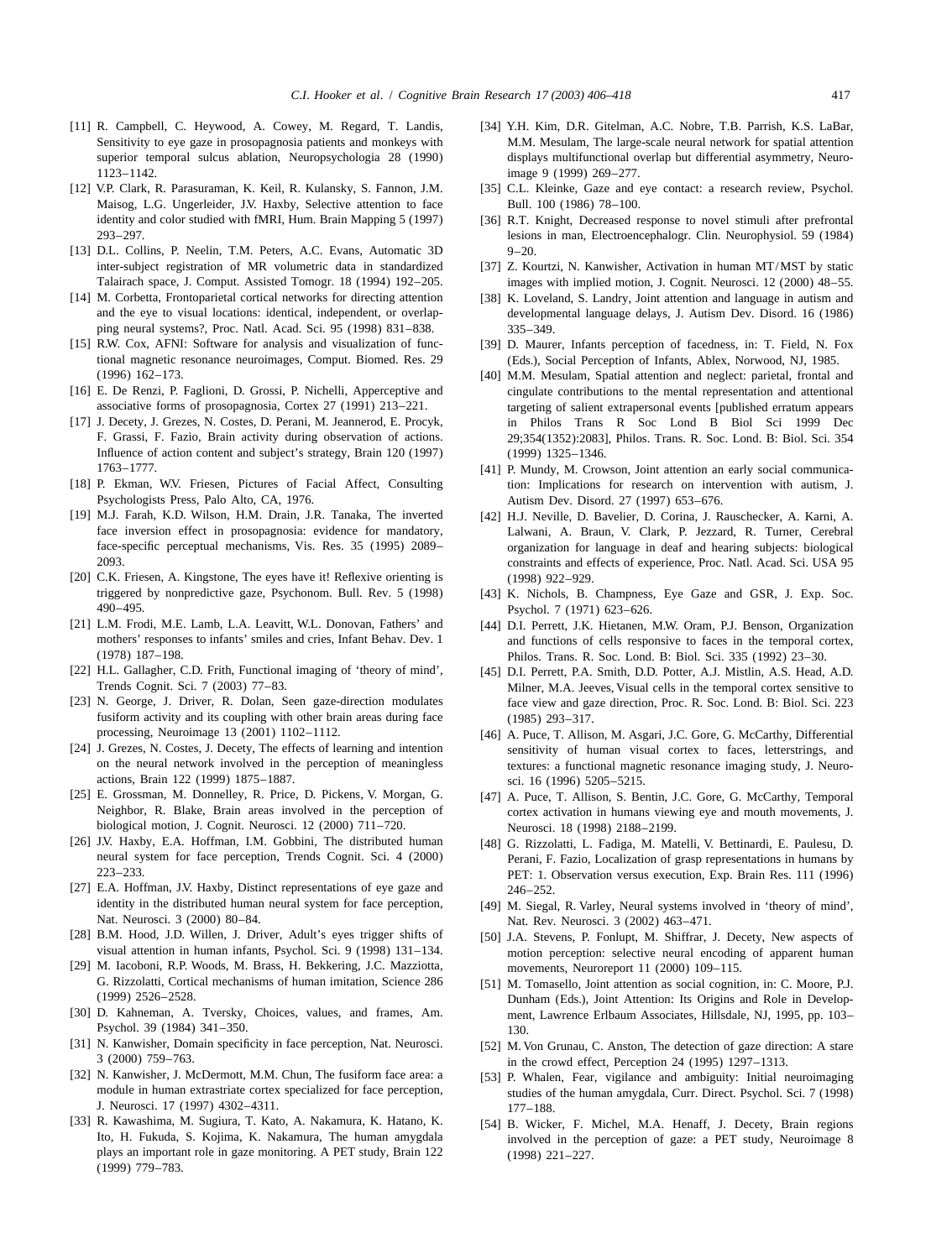- <span id="page-11-0"></span>[11] R. Campbell, C. Heywood, A. Cowey, M. Regard, T. Landis, [34] Y.H. Kim, D.R. Gitelman, A.C. Nobre, T.B. Parrish, K.S. LaBar, 1123–1142. image 9 (1999) 269–277.
- [12] V.P. Clark, R. Parasuraman, K. Keil, R. Kulansky, S. Fannon, J.M. [35] C.L. Kleinke, Gaze and eye contact: a research review, Psychol. Maisog, L.G. Ungerleider, J.V. Haxby, Selective attention to face Bull. 100 (1986) 78-100. identity and color studied with fMRI, Hum. Brain Mapping 5 (1997) [36] R.T. Knight, Decreased response to novel stimuli after prefrontal
- [13] D.L. Collins, P. Neelin, T.M. Peters, A.C. Evans, Automatic 3D 9-20. inter-subject registration of MR volumetric data in standardized [37] Z . Kourtzi, N. Kanwisher, Activation in human MT/MST by static
- [14] M. Corbetta, Frontoparietal cortical networks for directing attention [38] K. Loveland, S. Landry, Joint attention and language in autism and ping neural systems?, Proc. Natl. Acad. Sci. 95 (1998) 831–838. 335–349.
- [15] R.W. Cox, AFNI: Software for analysis and visualization of func- [39] D. Maurer, Infants perception of facedness, in: T. Field, N. Fox (1996) 162–173. [40] M .M. Mesulam, Spatial attention and neglect: parietal, frontal and
- 
- Influence of action content and subject's strategy, Brain 120 (1997) (1999) 1325–1346. 1763–1777. [41] P . Mundy, M. Crowson, Joint attention an early social communica-
- Psychologists Press, Palo Alto, CA, 1976. Automobile and Autism Dev. Disord. 27 (1997) 653-676.
- [19] M.J. Farah, K.D. Wilson, H.M. Drain, J.R. Tanaka, The inverted [42] H.J. Neville, D. Bavelier, D. Corina, J. Rauschecker, A. Karni, A.
- [20] C .K. Friesen, A. Kingstone, The eyes have it! Reflexive orienting is (1998) 922–929. triggered by nonpredictive gaze, Psychonom. Bull. Rev. 5 (1998) [43] K. Nichols, B. Champness, Eye Gaze and GSR, J. Exp. Soc. 490–495. Psychol. 7 (1971) 623–626.
- [21] L.M. Frodi, M.E. Lamb, L.A. Leavitt, W.L. Donovan, Fathers' and [44] D.I. Perrett, J.K. Hietanen, M.W. Oram, P.J. Benson, Organization mothers' responses to infants' smiles and cries, Infant Behav. Dev. 1 and function
- [22] H.L. Gallagher, C.D. Frith, Functional imaging of 'theory of mind', [45] D.I. Perrett, P.A. Smith, D.D. Potter, A.J. Mistlin, A.S. Head, A.D.
- fusiform activity and its coupling with other brain areas during face (1985) 293–317. processing, Neuroimage 13 (2001) 1102-1112. [46] A. Puce, T. Allison, M. Asgari, J.C. Gore, G. McCarthy, Differential
- actions, Brain 122 (1999) 1875–1887. sci. 16 (1996) 5205–5215.
- [25] E. Grossman, M. Donnelley, R. Price, D. Pickens, V. Morgan, G. [47] A. Puce, T. Allison, S. Bentin, J.C. Gore, G. McCarthy, Temporal biological motion, J. Cognit. Neurosci. 12 (2000) 711–720. Neurosci. 18 (1998) 2188–2199.<br>[26] J.V. Haxby, E.A. Hoffman, I.M. Gobbini, The distributed human [48] G. Rizzolatti. L. Fadiga. M. Ma
- J.V. Haxby, E.A. Hoffman, I.M. Gobbini, The distributed human [48] G. Rizzolatti, L. Fadiga, M. Matelli, V. Bettinardi, E. Paulesu, D. neural system for face perception, Trends Cognit. Sci. 4 (2000) Perani, F. Fazio, Local
- [27] E.A. Hoffman, J.V. Haxby, Distinct representations of eye gaze and 246–252.<br>identity in the distributed human neural system for face perception, [49] M. Siegal
- [28] B.M. Hood, J.D. Willen, J. Driver, Adult's eyes trigger shifts of [50] J.A. Stevens, P. Fonlupt, M. Shiffrar, J. Decety, New aspects of
- [29] M . Iacoboni, R.P. Woods, M. Brass, H. Bekkering, J.C. Mazziotta, movements, Neuroreport 11 (2000) 109–115.
- Psychol. 39 (1984) 341–350. 130.
- [31] N. Kanwisher, Domain specificity in face perception, Nat. Neurosci. [52] M. Von Grunau, C. Anston, The detection of gaze direction: A stare 3 (2000) 759–763. **a** in the crowd effect. Perception 24 (1995) 1297–1313. 3 (2000) 759–763. in the crowd effect, Perception 24 (1995) 1297–1313.
- N. Kanwisher, J. McDermott, M.M. Chun, The fusiform face area: a [53] P. Whalen, Fear, vigilance and ambiguity: Initial neuroimaging module in human extrastriate cortex specialized for face perception, studies of the human J. Neurosci. 17 (1997) 4302–4311.<br>
[33] R. Kawashima, M. Sugiura, T. Kato, A. Nakamura, K. Hatano, K. [54] R. Wicke
- plays an important role in gaze monitoring. A PET study, Brain 122 (1998) 221-227. (1999) 779–783.
- Sensitivity to eye gaze in prosopagnosia patients and monkeys with M.M. Mesulam, The large-scale neural network for spatial attention superior temporal sulcus ablation, Neuropsychologia 28 (1990) displays multifunctional overlap but differential asymmetry, Neuro-
	-
- 293–297. lesions in man, Electroencephalogr. Clin. Neurophysiol. 59 (1984)
- Talairach space, J. Comput. Assisted Tomogr. 18 (1994) 192–205. images with implied motion, J. Cognit. Neurosci. 12 (2000) 48–55.
- and the eye to visual locations: identical, independent, or overlap- developmental language delays, J. Autism Dev. Disord. 16 (1986)
- tional magnetic resonance neuroimages, Comput. Biomed. Res. 29 (Eds.), Social Perception of Infants, Ablex, Norwood, NJ, 1985.
- [16] E . De Renzi, P. Faglioni, D. Grossi, P. Nichelli, Apperceptive and cingulate contributions to the mental representation and attentional associative forms of prosopagnosia, Cortex 27 (1991) 213–221. targeting of salient extrapersonal events [published erratum appears [17] J . Decety, J. Grezes, N. Costes, D. Perani, M. Jeannerod, E. Procyk, in Philos Trans R Soc Lond B Biol Sci 1999 Dec F. Grassi, F. Fazio, Brain activity during observation of actions. 29;354(1352):2083], Philos. Trans. R. Soc. Lond. B: Biol. Sci. 354
- [18] P . Ekman, W.V. Friesen, Pictures of Facial Affect, Consulting tion: Implications for research on intervention with autism, J.
	- face inversion effect in prosopagnosia: evidence for mandatory, Lalwani, A. Braun, V. Clark, P. Jezzard, R. Turner, Cerebral face-specific perceptual mechanisms, Vis. Res. 35 (1995) 2089– organization for language in deaf and hearing subjects: biological 2093. constraints and effects of experience, Proc. Natl. Acad. Sci. USA 95
		-
	- and functions of cells responsive to faces in the temporal cortex, (1978) 187–198. Philos. Trans. R. Soc. Lond. B: Biol. Sci. 335 (1992) 23–30.
- Trends Cognit. Sci. 7 (2003) 77–83.<br>
[23] N. George, J. Driver, R. Dolan, Seen gaze-direction modulates face view and gaze direction Proc. R. Soc. Lond B: Biol. Sci. 223 face view and gaze direction, Proc. R. Soc. Lond. B: Biol. Sci. 223
- [24] J. Grezes, N. Costes, J. Decety, The effects of learning and intention sensitivity of human visual cortex to faces, letterstrings, and on the neural network involved in the perception of meaningless extures: a functio textures: a functional magnetic resonance imaging study, J. Neuro-
	- Neighbor, R. Blake, Brain areas involved in the perception of cortex activation in humans viewing eye and mouth movements, J.
	- Perani, F. Fazio, Localization of grasp representations in humans by 223–233. PET: 1. Observation versus execution, Exp. Brain Res. 111 (1996)
	- identity in the distributed human neural system for face perception, [49] M. Siegal, R. Varley, Neural systems involved in 'theory of mind', Nat. Neurosci. 3 (2000) 80–84. Nat. Rev. Neurosci. 3 (2002) 463-471.
	- visual attention in human infants, Psychol. Sci. 9 (1998) 131–134. motion perception: selective neural encoding of apparent human
- [51] M. Tomasello, Joint attention as social cognition, in: C. Moore, P.J. (1999) 2526–2528. Dunham (Eds.), Joint Attention: Its Origins and Role in Develop- [30] D . Kahneman, A. Tversky, Choices, values, and frames, Am. ment, Lawrence Erlbaum Associates, Hillsdale, NJ, 1995, pp. 103–
	-
	- studies of the human amygdala, Curr. Direct. Psychol. Sci. 7 (1998)
	- R. Kawashima, M. Sugiura, T. Kato, A. Nakamura, K. Hatano, K. [54] B. Wicker, F. Michel, M.A. Henaff, J. Decety, Brain regions Ito, H. Fukuda, S. Kojima, K. Nakamura, The human amygdala involved in the perception of gaze: involved in the perception of gaze: a PET study, Neuroimage 8